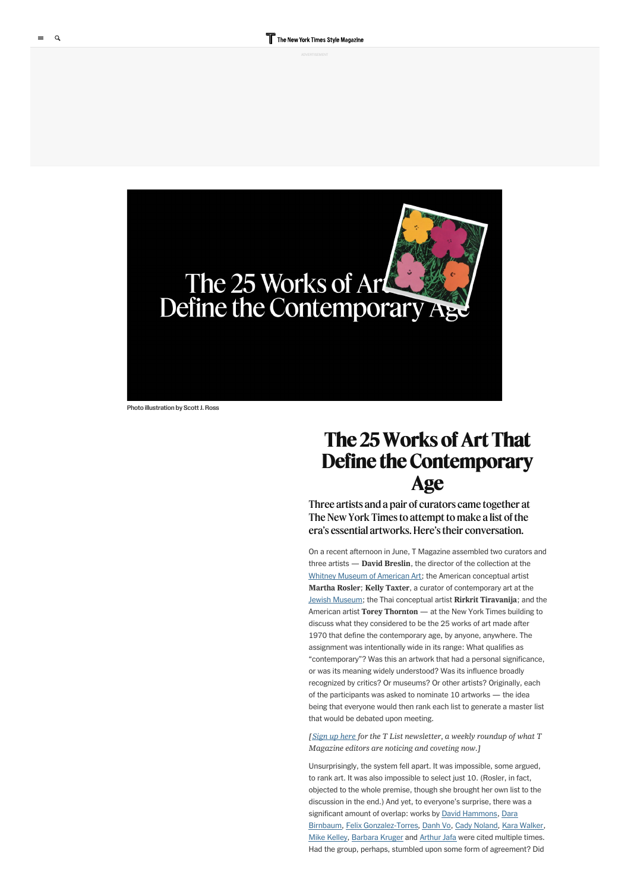

Photo illustration by Scott J. Ross

# **The 25 Works of Art That Define the Contemporary Age**

Three artists and a pair of curators came together at The New York Times to attempt to make a list of the era's essential artworks. Here's their conversation.

On a recent afternoon in June, T Magazine assembled two curators and three artists — David Breslin, the director of the collection at the Whitney Museum of [American](https://www.nytimes.com/topic/organization/whitney-museum-of-american-art) Art; the American conceptual artist Martha Rosler; Kelly Taxter, a curator of contemporary art at the Jewish [Museum](https://www.nytimes.com/topic/organization/jewish-museum-nyc); the Thai conceptual artist Rirkrit Tiravanija; and the American artist Torey Thornton — at the New York Times building to discuss what they considered to be the 25 works of art made after 1970 that define the contemporary age, by anyone, anywhere. The assignment was intentionally wide in its range: What qualifies as "contemporary"? Was this an artwork that had a personal significance, or was its meaning widely understood? Was its influence broadly recognized by critics? Or museums? Or other artists? Originally, each of the participants was asked to nominate 10 artworks — the idea being that everyone would then rank each list to generate a master list that would be debated upon meeting.

[[Sign](https://www.nytimes.com/newsletters/t-list?module=inline) up here for the T List newsletter, a weekly roundup of what T Magazine editors are noticing and coveting now.]

Unsurprisingly, the system fell apart. It was impossible, some argued, to rank art. It was also impossible to select just 10. (Rosler, in fact, objected to the whole premise, though she brought her own list to the discussion in the end.) And yet, to everyone's surprise, there was a significant amount of overlap: works by David [Hammons,](https://www.nytimes.com/2016/03/25/arts/design/david-hammons-is-still-messing-with-what-art-means.html) Dara Birnbaum, Felix [Gonzalez-Torres,](https://www.mariangoodman.com/artists/dara-birnbaum) [Danh](https://www.nytimes.com/2018/06/12/t-magazine/danh-vo-pho-recipe.html) Vo, Cady [Noland](https://gagosian.com/artists/cady-noland/), Kara [Walker](https://www.nytimes.com/2016/06/09/t-magazine/art/kara-walker-father-larry-art.html), Mike [Kelley](https://www.nytimes.com/2017/03/08/t-magazine/art/mike-kelley-mobile-homestead.html), [Barbara](https://www.nytimes.com/2017/09/15/t-magazine/art/barbara-kruger-berlin.html) Kruger and [Arthur](https://gavinbrown.biz/artists/arthur_jafa/exhibitions/2019) Jafa were cited multiple times. Had the group, perhaps, stumbled upon some form of agreement? Did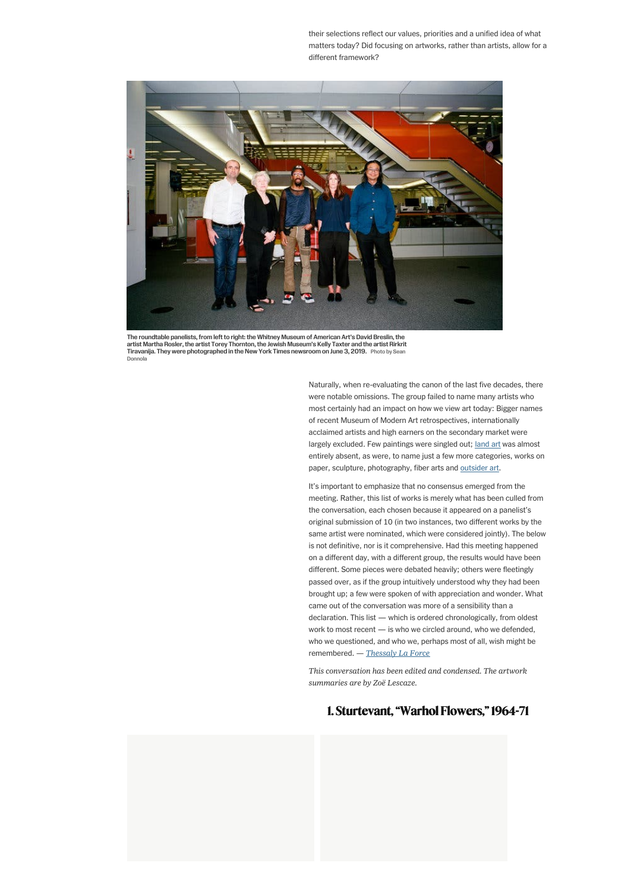their selections reflect our values, priorities and a unified idea of what matters today? Did focusing on artworks, rather than artists, allow for a different framework?



The roundtable panelists, from left to right: the Whitney Museum of American Art's David Breslin, the<br>artist Martha Rosler, the artist Torey Thornton, the Jewish Museum's Kelly Taxter and the artist Rirkrit<br>Tiravanija. The Donnola

Naturally, when re-evaluating the canon of the last five decades, there were notable omissions. The group failed to name many artists who most certainly had an impact on how we view art today: Bigger names of recent Museum of Modern Art retrospectives, internationally acclaimed artists and high earners on the secondary market were largely excluded. Few paintings were singled out; [land](https://www.nytimes.com/2018/11/21/t-magazine/female-land-artists.html) art was almost entirely absent, as were, to name just a few more categories, works on paper, sculpture, photography, fiber arts and [outsider](https://www.nytimes.com/2015/06/01/t-magazine/outsider-art-essay-christine-smallwood.html) art.

It's important to emphasize that no consensus emerged from the meeting. Rather, this list of works is merely what has been culled from the conversation, each chosen because it appeared on a panelist's original submission of 10 (in two instances, two different works by the same artist were nominated, which were considered jointly). The below is not definitive, nor is it comprehensive. Had this meeting happened on a different day, with a different group, the results would have been different. Some pieces were debated heavily; others were fleetingly passed over, as if the group intuitively understood why they had been brought up; a few were spoken of with appreciation and wonder. What came out of the conversation was more of a sensibility than a declaration. This list — which is ordered chronologically, from oldest work to most recent — is who we circled around, who we defended, who we questioned, and who we, perhaps most of all, wish might be remembered. - [Thessaly](https://www.nytimes.com/by/thessaly-la-force) La Force

This conversation has been edited and condensed. The artwork summaries are by Zoë Lescaze.

# **1. Sturtevant,"Warhol Flowers,"1964-71**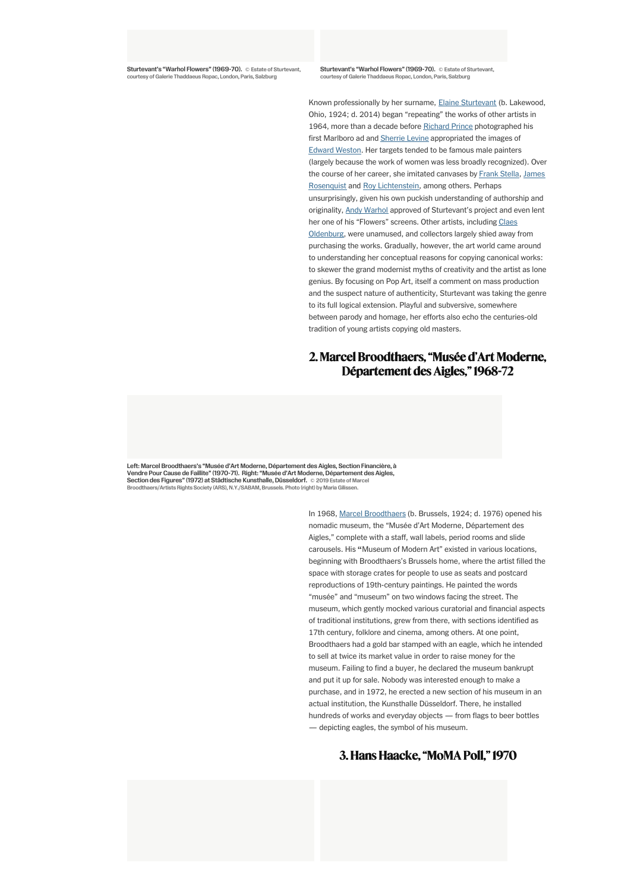Sturtevant's "Warhol Flowers" (1969-70). © Estate of Sturtevant, courtesy of Galerie Thaddaeus Ropac, London, Paris, Salzburg

Sturtevant's "Warhol Flowers" (1969-70). © Estate of Sturtevant courtesy of Galerie Thaddaeus Ropac, London, Paris, Salzburg

Known professionally by her surname, Elaine [Sturtevant](https://www.nytimes.com/2014/05/17/arts/design/elaine-sturtevant-appropriation-artist-is-dead-at-89.html) (b. Lakewood, Ohio, 1924; d. 2014) began "repeating" the works of other artists in 1964, more than a decade before [Richard](https://www.nytimes.com/topic/person/richard-prince) Prince photographed his first Marlboro ad and [Sherrie](https://www.nytimes.com/1987/09/12/arts/original-slant-on-originality.html) Levine appropriated the images of Edward [Weston](https://www.nytimes.com/topic/person/edward-weston). Her targets tended to be famous male painters (largely because the work of women was less broadly recognized). Over the course of her career, she imitated canvases by [Frank](https://www.nytimes.com/2019/02/17/arts/design/frank-stella-black-paintings.html) Stella, James Rosenquist and Roy [Lichtenstein,](https://www.nytimes.com/2017/04/01/arts/james-rosenquist-dead-pop-art.html) among others. Perhaps unsurprisingly, given his own puckish understanding of authorship and originality, Andy [Warhol](https://www.nytimes.com/2018/11/01/arts/design/andy-warhol-inc-how-he-made-business-his-art.html) approved of Sturtevant's project and even lent her one of his "Flowers" screens. Other artists, including Claes Oldenburg, were [unamused,](https://www.nytimes.com/2017/10/16/t-magazine/claes-oldenburg.html) and collectors largely shied away from purchasing the works. Gradually, however, the art world came around to understanding her conceptual reasons for copying canonical works: to skewer the grand modernist myths of creativity and the artist as lone genius. By focusing on Pop Art, itself a comment on mass production and the suspect nature of authenticity, Sturtevant was taking the genre to its full logical extension. Playful and subversive, somewhere between parody and homage, her efforts also echo the centuries-old tradition of young artists copying old masters.

### **2. Marcel Broodthaers,"Musée d'Art Moderne, Département des Aigles,"1968-72**

Left: Marcel Broodthaers's "Musée d'Art Moderne, Département des Aigles, Section Financière, à<br>Vendre Pour Cause de Faillite" (1970-71). Right: "Musée d'Art Moderne, Département des Aigles, **Section des Figures" (1972) at Städtische Kunsthalle, Düsseldorf.** © 2019 Estate of Marcel<br>Broodthaers/Artists Rights Society (ARS), N.Y./SABAM, Brussels. Photo (right) by Maria Gilissen.

> In 1968, Marcel [Broodthaers](https://www.moma.org/collection/works/146915) (b. Brussels, 1924; d. 1976) opened his nomadic museum, the "Musée d'Art Moderne, Département des Aigles," complete with a staff, wall labels, period rooms and slide carousels. His "Museum of Modern Art" existed in various locations, beginning with Broodthaers's Brussels home, where the artist filled the space with storage crates for people to use as seats and postcard reproductions of 19th-century paintings. He painted the words "musée" and "museum" on two windows facing the street. The museum, which gently mocked various curatorial and financial aspects of traditional institutions, grew from there, with sections identified as 17th century, folklore and cinema, among others. At one point, Broodthaers had a gold bar stamped with an eagle, which he intended to sell at twice its market value in order to raise money for the museum. Failing to find a buyer, he declared the museum bankrupt and put it up for sale. Nobody was interested enough to make a purchase, and in 1972, he erected a new section of his museum in an actual institution, the Kunsthalle Düsseldorf. There, he installed hundreds of works and everyday objects — from flags to beer bottles — depicting eagles, the symbol of his museum.

### **3. Hans Haacke,"MoMA Poll,"1970**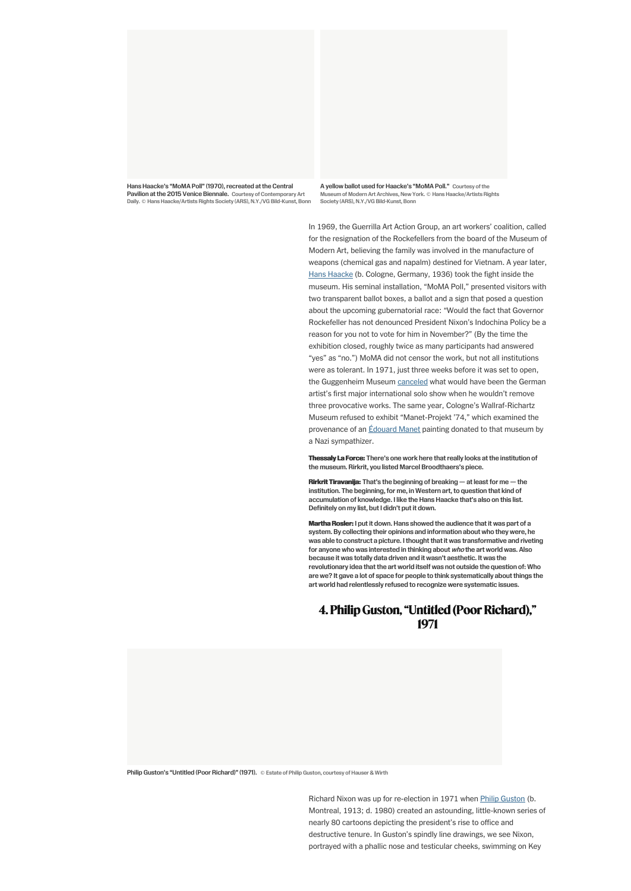Hans Haacke's "MoMA Poll" (1970), recreated at the Central<br>Pavilion at the 2015 Venice Biennale. Courtesy of Contemporary Art Daily. © Hans Haacke/Artists Rights Society (ARS), N.Y./VG Bild-Kunst, Bonn

A yellow ballot used for Haacke's "MoMA Poll." Courtesy of the Museum of Modern Art Archives, New York. © Hans Haacke/Artists Rights Society (ARS), N.Y./VG Bild-Kunst, Bonn

In 1969, the Guerrilla Art Action Group, an art workers' coalition, called for the resignation of the Rockefellers from the board of the Museum of Modern Art, believing the family was involved in the manufacture of weapons (chemical gas and napalm) destined for Vietnam. A year later, Hans [Haacke](https://www.nytimes.com/2014/10/24/arts/design/hans-haacke-gets-establishment-nod-of-approval.html) (b. Cologne, Germany, 1936) took the fight inside the museum. His seminal installation, "MoMA Poll," presented visitors with two transparent ballot boxes, a ballot and a sign that posed a question about the upcoming gubernatorial race: "Would the fact that Governor Rockefeller has not denounced President Nixon's Indochina Policy be a reason for you not to vote for him in November?" (By the time the exhibition closed, roughly twice as many participants had answered "yes" as "no.") MoMA did not censor the work, but not all institutions were as tolerant. In 1971, just three weeks before it was set to open, the Guggenheim Museum [canceled](https://www.nytimes.com/1971/04/07/archives/the-guggenheim-cancels-haackes-show.html) what would have been the German artist's first major international solo show when he wouldn't remove three provocative works. The same year, Cologne's Wallraf-Richartz Museum refused to exhibit "Manet-Projekt '74," which examined the provenance of an *[Édouard](https://www.nytimes.com/topic/person/edouard-manet) Manet* painting donated to that museum by a Nazi sympathizer.

**Thessaly La Force:** There's one work here thatreally looks at the institution of the museum. Rirkrit, you listed Marcel Broodthaers's piece.

**Rirkrit Tiravanija:** That's the beginning of breaking — at least for me — the institution. The beginning, for me, in Western art, to question that kind of accumulation of knowledge. I like the Hans Haacke that's also on this list. Definitely on my list, but I didn't put it down.

**Martha Rosler:** I put it down. Hans showed the audience that it was part of a system. By collecting their opinions and information about who they were, he was able to construct a picture. I thought that it was transformative and riveting for anyone who was interested in thinking about who the art world was. Also because it was totally data driven and it wasn't aesthetic. It was the revolutionary idea that the art world itself was not outside the question of: Who are we? It gave a lot of space for people to think systematically about things the art world had relentlessly refused to recognize were systematic issues.

### **4. Philip Guston,"Untitled (Poor Richard)," 1971**

Philip Guston's "Untitled (Poor Richard)" (1971). © Estate of Philip Guston, courtesy of Hauser & Wirth

Richard Nixon was up for re-election in 1971 when Philip [Guston](https://www.nytimes.com/2017/05/16/t-magazine/art/philip-guston-venice.html) (b. Montreal, 1913; d. 1980) created an astounding, little-known series of nearly 80 cartoons depicting the president's rise to office and destructive tenure. In Guston's spindly line drawings, we see Nixon, portrayed with a phallic nose and testicular cheeks, swimming on Key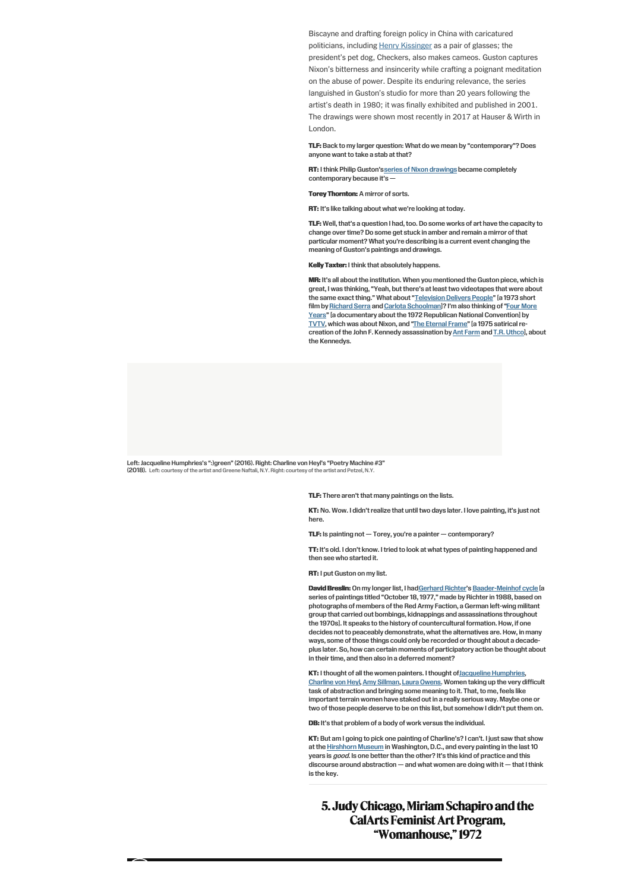Biscayne and drafting foreign policy in China with caricatured politicians, including Henry [Kissinger](https://www.nytimes.com/topic/person/henry-a-kissinger) as a pair of glasses; the president's pet dog, Checkers, also makes cameos. Guston captures Nixon's bitterness and insincerity while crafting a poignant meditation on the abuse of power. Despite its enduring relevance, the series languished in Guston's studio for more than 20 years following the artist's death in 1980; it was finally exhibited and published in 2001. The drawings were shown most recently in 2017 at Hauser & Wirth in London.

**TLF:** Back to my larger question: What do we mean by "contemporary"? Does anyone want to take a stab at that?

**RT:** I think Philip Guston'sseries of Nixon [drawings](https://www.nytimes.com/2016/10/31/arts/design/philip-guston-and-his-barbed-pen-nixon-years.html) became completely contemporary because it's -

**Torey Thornton:** A mirror of sorts.

**RT:** It's like talking about what we're looking at today.

**TLF:** Well, that's a question Ihad, too. Do some works of art have the capacity to change over time? Do some get stuck in amber and remain a mirror of that particular moment? What you're describing is a current event changing the meaning of Guston's paintings and drawings.

**Kelly Taxter:** I think that absolutely happens.

**MR:** It's all about the institution. When you mentioned the Guston piece, which is great, I was thinking, "Yeah, but there's at least two videotapes that were about the same exact thing." What about "[Television](https://www.moma.org/collection/works/118185) Delivers People" [a 1973 short film by [Richard](https://www.nytimes.com/topic/person/richard-serra) Serra and Carlota [Schoolman](https://www.moma.org/artists/34941)]? I'm also thinking of "Four More Years" [a [documentary](https://www.eai.org/titles/four-more-years) about the 1972 Republican National Convention] by [TVTV](http://www.vdb.org/artists/tvtv), which was about Nixon, and "The [Eternal](https://www.eai.org/titles/the-eternal-frame) Frame" [a 1975 satirical re-creation of the John F. Kennedy assassination by Ant [Farm](https://www.nytimes.com/2003/06/21/arts/doug-michels-radical-artist-and-architect-dies-at-59.html) and T.R. [Uthco](https://www.eai.org/artists/t-r-uthco/titles)l, about the Kennedys.

Left: Jacqueline Humphries's ":)green" (2016). Right: Charline von Heyl's "Poetry Machine #3" (2018). Left: courtesy of the artist and Greene Naftali, N.Y. Right: courtesy of the artist and Petzel, N.Y.

**TLF:** There aren't that many paintings on the lists.

KT: No. Wow. I didn't realize that until two days later. I love painting, it's just not here.

**TLF:** Is painting not — Torey, you're a painter — contemporary?

**TT:** It's old. I don't know. I tried to look at what types of painting happened and then see who started it.

**RT:** I put Guston on my list.

**David Breslin:** On my longer list, I ha[dGerhard](https://www.nytimes.com/2002/01/27/magazine/an-artist-beyond-isms.html) Richter's [Baader-Meinhof](https://www.gerhard-richter.com/en/art/paintings/photo-paintings/baader-meinhof-56) cycle [a series of paintings titled "October 18, 1977," made by Richter in 1988, based on photographs of members of the Red Army Faction, a German left-wing militant group that carried out bombings, kidnappings and assassinations throughout the 1970s]. It speaks to the history of countercultural formation. How, if one decides not to peaceably demonstrate, what the alternatives are. How, in many ways, some of those things could only be recorded or thought about a decadeplus later. So, how can certain moments of participatory action be thought about in their time, and then also in a deferred moment?

**KT:** I thought of all the women painters. I thought of lacqueline [Humphries](https://www.greenenaftaligallery.com/artists/jacqueline-humphries), [Charline](http://www.petzel.com/artists/charline-von-heyl) von Heyl, Amy [Sillman](https://www.nytimes.com/2013/09/29/arts/design/amy-sillman-brings-together-abstraction-and-figuration.html), Laura [Owens](https://www.nytimes.com/2017/09/04/t-magazine/art/ugly-painting-laura-owens-karen-kilimnik-sam-mckinniss.html). Women taking up the very difficult task of abstraction and bringing some meaning to it. That, to me, feels like important terrain women have staked out in a really serious way. Maybe one or two of those people deserve to be on this list, but somehow I didn't put them on.

**DB:** It's that problem of a body of work versus the individual.

**KT:** But am I going to pick one painting of Charline's? I can't. I just saw that show at the [Hirshhorn](https://www.nytimes.com/2018/11/08/t-magazine/tino-sehgal-hirshhorn-museum-art.html) Museum in Washington, D.C., and every painting in the last 10 years is good. Is one better than the other? It's this kind of practice and this discourse around abstraction — and what women are doing with it — that I think is the key.

**5. Judy Chicago, Miriam Schapiro and the CalArts Feminist Art Program, "Womanhouse,"1972**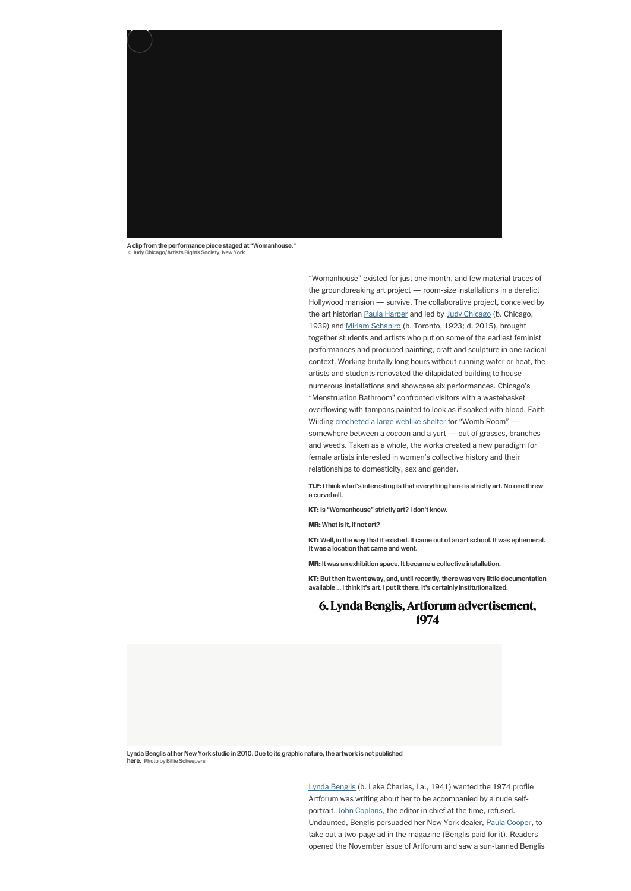

**A clip from the performance piece staged at "Womanhouse."**<br>© Judy Chicago/Artists Rights Society, New York

"Womanhouse" existed for just one month, and few material traces of the groundbreaking art project — room-size installations in a derelict Hollywood mansion — survive. The collaborative project, conceived by the art historian Paula [Harper](https://www.nytimes.com/2012/06/26/arts/design/paula-hays-harper-feminist-art-historian-dies-at-81.html) and led by Judy [Chicago](https://www.nytimes.com/2018/02/07/t-magazine/judy-chicago-dinner-party.html) (b. Chicago, 1939) and Miriam [Schapiro](https://www.nytimes.com/2015/06/25/arts/design/miriam-schapiro-91-a-feminist-artist-who-harnessed-craft-and-pattern-dies.html) (b. Toronto, 1923; d. 2015), brought together students and artists who put on some of the earliest feminist performances and produced painting, craft and sculpture in one radical context. Working brutally long hours without running water or heat, the artists and students renovated the dilapidated building to house numerous installations and showcase six performances. Chicago's "Menstruation Bathroom" confronted visitors with a wastebasket overflowing with tampons painted to look as if soaked with blood. Faith Wilding [crocheted](https://www.nytimes.com/2018/03/14/t-magazine/art/fiber-knitting-weaving-politics.html) a large weblike shelter for "Womb Room" somewhere between a cocoon and a yurt — out of grasses, branches and weeds. Taken as a whole, the works created a new paradigm for female artists interested in women's collective history and their relationships to domesticity, sex and gender.

**TLF:** I think what's interesting is that everything here is strictly art. No one threw a curveball.

KT: Is "Womanhouse" strictly art? I don't know.

**MR:** What is it, if not art?

**KT:** Well, in the way that it existed. It came out of an art school. It was ephemeral. It was a location that came and went.

**MR:** It was an exhibition space. It became a collective installation.

**KT:** But then it went away, and, until recently, there was very little documentation available … I think it's art. I put it there. It's certainly institutionalized.

### **6. Lynda Benglis, Artforum advertisement, 1974**

Lynda Benglis at her New York studio in 2010. Due to its graphic nature, the artwork is not published here. Photo by Billie Scheepers

> Lynda [Benglis](https://www.nytimes.com/2011/02/13/arts/design/13benglis.html) (b. Lake Charles, La., 1941) wanted the 1974 profile Artforum was writing about her to be accompanied by a nude selfportrait. John [Coplans](https://www.nytimes.com/2003/08/22/arts/john-coplans-83-an-artist-and-a-founder-of-artforum.html), the editor in chief at the time, refused. Undaunted, Benglis persuaded her New York dealer, Paula [Cooper](https://www.nytimes.com/2016/10/11/t-magazine/art/paula-cooper-art-gallery-life-pictures.html), to take out a two-page ad in the magazine (Benglis paid for it). Readers opened the November issue of Artforum and saw a sun-tanned Benglis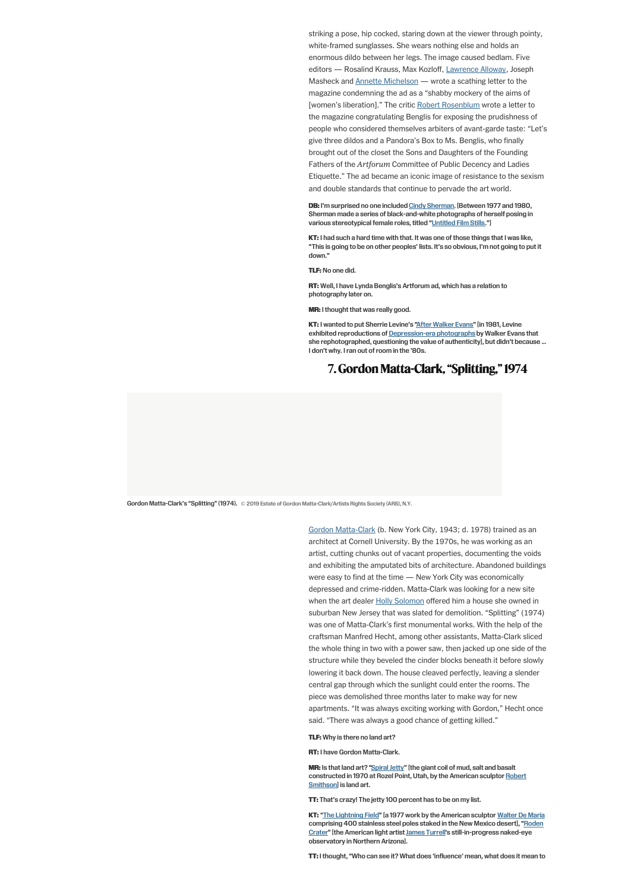striking a pose, hip cocked, staring down at the viewer through pointy, white-framed sunglasses. She wears nothing else and holds an enormous dildo between her legs. The image caused bedlam. Five editors — Rosalind Krauss, Max Kozloff, [Lawrence](https://www.nytimes.com/1990/01/03/obituaries/lawrence-alloway-is-dead-at-63-art-historian-curator-and-critic.html) Alloway, Joseph Masheck and Annette [Michelson](https://www.nytimes.com/2018/09/18/obituaries/annette-michelson-dead.html) — wrote a scathing letter to the magazine condemning the ad as a "shabby mockery of the aims of [women's liberation]." The critic Robert [Rosenblum](https://www.nytimes.com/2006/12/09/arts/design/09rose.html) wrote a letter to the magazine congratulating Benglis for exposing the prudishness of people who considered themselves arbiters of avant-garde taste: "Let's give three dildos and a Pandora's Box to Ms. Benglis, who finally brought out of the closet the Sons and Daughters of the Founding Fathers of the Artforum Committee of Public Decency and Ladies Etiquette." The ad became an iconic image of resistance to the sexism and double standards that continue to pervade the art world.

**DB:** I'm surprised no one included Cindy [Sherman](https://www.nytimes.com/topic/person/cindy-sherman). [Between 1977 and 1980, Sherman made a series of black-and-white photographs of herself posing in various stereotypical female roles, titled ["Untitled](https://www.nytimes.com/2014/10/17/arts/design/cindy-shermans-untitled-film-stills-go-to-auction-.html) Film Stills."]

**KT:** I had such a hard time with that. It was one of those things that I was like, "This is going to be on other peoples' lists. It's so obvious, I'm not going to put it down."

**TLF:** No one did.

**RT:** Well, I have Lynda Benglis's Artforum ad, which has a relation to photography later on.

**MR:** I thought that was really good.

**KT:** I wanted to put Sherrie Levine's "After [Walker](http://www.afterwalkerevans.com/) Evans" [in 1981, Levine exhibited reproductions of [Depression-era](https://lens.blogs.nytimes.com/2013/08/08/a-new-look-at-walk-evanss-american-photographs/) photographs by Walker Evans that she rephotographed, questioning the value of authenticity], but didn't because … I don't why. Iran out of room in the '80s.

### **7. Gordon Matta-Clark,"Splitting,"1974**

Gordon Matta-Clark's "Splitting" (1974). © 2019 Estate of Gordon Matta-Clark/Artists Rights Society (ARS), N.Y.

Gordon [Matta-Clark](https://www.davidzwirner.com/artists/gordon-matta-clark) (b. New York City, 1943; d. 1978) trained as an architect at Cornell University. By the 1970s, he was working as an artist, cutting chunks out of vacant properties, documenting the voids and exhibiting the amputated bits of architecture. Abandoned buildings were easy to find at the time — New York City was economically depressed and crime-ridden. Matta-Clark was looking for a new site when the art dealer **Holly [Solomon](https://www.nytimes.com/2002/06/10/arts/holly-solomon-adventurous-art-dealer-is-dead-at-68.html)** offered him a house she owned in suburban New Jersey that was slated for demolition. "Splitting" (1974) was one of Matta-Clark's first monumental works. With the help of the craftsman Manfred Hecht, among other assistants, Matta-Clark sliced the whole thing in two with a power saw, then jacked up one side of the structure while they beveled the cinder blocks beneath it before slowly lowering it back down. The house cleaved perfectly, leaving a slender central gap through which the sunlight could enter the rooms. The piece was demolished three months later to make way for new apartments. "It was always exciting working with Gordon," Hecht once said. "There was always a good chance of getting killed."

**TLF:** Why is there no land art?

**RT:** I have Gordon Matta-Clark.

**MR:** Is that land art? ["Spiral](https://www.nytimes.com/2017/03/13/arts/design/spiral-jetty-is-named-an-official-state-work-of-art-by-utah.html) Jetty" [the giant coil of mud, salt and basalt [constructed](https://www.nytimes.com/topic/person/robert-smithson) in 1970 at Rozel Point, Utah, by the American sculptor Robert Smithson] is land art.

**TT:** That's crazy! The jetty 100 percent has to be on my list.

**KT:** "The [Lightning](https://www.nytimes.com/2012/06/08/arts/design/lightning-field-restoration-campaign-is-set.html) Field" [a 1977 work by the American sculptor [Walter](https://www.nytimes.com/2013/07/27/arts/design/walter-de-maria-artist-on-grand-scale-dies-at-77.html) De Maria comprising 400 stainless steel poles staked in the New Mexico desert], "Roden Crater" [the American light artist [James](https://www.nytimes.com/topic/person/james-turrell) Turrell's [still-in-progress](https://www.nytimes.com/2007/11/25/arts/design/25fink.html) naked-eye observatory in Northern Arizona].

**TT:** I thought, "Who can see it? What does 'influence' mean, what does it mean to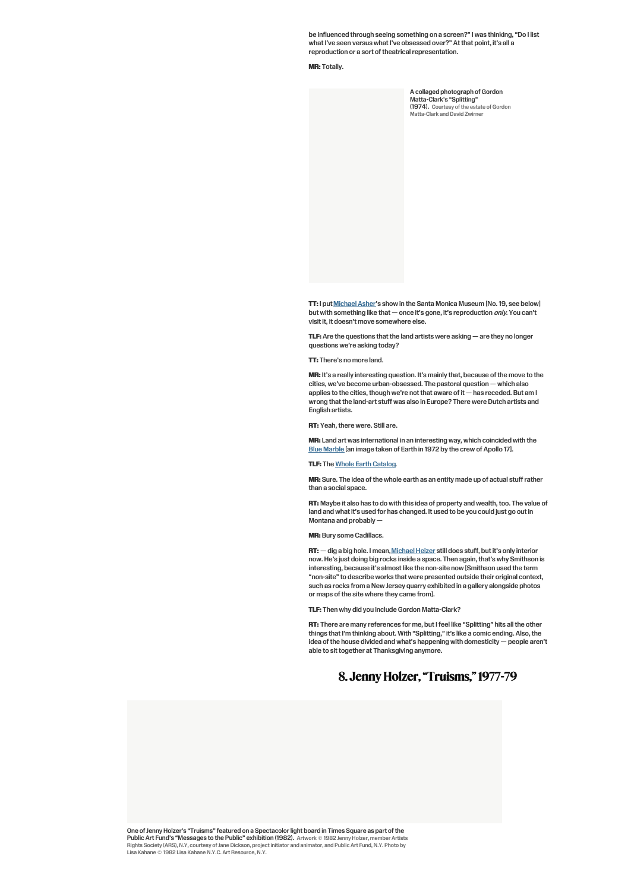be influenced through seeing something on a screen?" I was thinking, "Do Ilist what I've seen versus what I've obsessed over?" At that point, it's all a reproduction or a sort of theatrical representation.

**MR:** Totally.

A collaged photograph of Gordon<br>Matta-Clark's "Splitting" **(1974).** Courtesy of the estate of Gordon<br>Matta-Clark and David Zwirner

**TT:** I put [Michael](https://tmagazine.blogs.nytimes.com/2010/05/28/just-looking-michael-ashers-all-nighter/) Asher's show in the Santa Monica Museum [No. 19, see below] but with something like that — once it's gone, it's reproduction *only*. You can't visit it, it doesn't move somewhere else.

**TLF:** Are the questions that the land artists were asking — are they no longer questions we're asking today?

**TT:** There's no more land.

**MR:** It's a really interesting question. It's mainly that, because of the move to the cities, we've become urban-obsessed. The pastoral question — which also applies to the cities, though we're not that aware of it — has receded. But am I wrong that the land-art stuff was also in Europe? There were Dutch artists and English artists.

**RT:** Yeah, there were. Still are.

**MR:** Land art was international in an interesting way, which coincided with the Blue [Marble](https://www.nytimes.com/interactive/projects/cp/summer-of-science-2015/latest/blue-marble-earth-photos-comparison) [an image taken of Earth in 1972 by the crew of Apollo 17].

#### **TLF:** The Whole Earth [Catalog](https://www.nytimes.com/1974/11/08/archives/-whole-earth-catalog-recycled-as-epilog-new-group-to-serve.html).

**MR:** Sure. The idea of the whole earth as an entity made up of actual stuff rather than a social space.

**RT:** Maybe it also has to do with this idea of property and wealth, too. The value of land and what it's used for has changed. It used to be you could just go out in Montana and probably —

### **MR:** Bury some Cadillacs.

**RT:** — dig a big hole. I mean<u>, [Michael](https://www.nytimes.com/2015/05/17/arts/design/michael-heizers-big-work-and-long-view.html) Heizer</u> still does stuff, but it's only interior now. He's just doing big rocks inside a space. Then again, that's why Smithson is interesting, because it's almost like the non-site now [Smithson used the term "non-site" to describe works that were presented outside their original context, such as rocks from a New Jersey quarry exhibited in a gallery alongside photos or maps of the site where they came from].

**TLF:** Then why did you include Gordon Matta-Clark?

**RT:** There are many references for me, but I feel like "Splitting" hits all the other things that I'm thinking about. With "Splitting," it's like a comic ending. Also, the idea of the house divided and what's happening with domesticity — people aren't able to sit together at Thanksgiving anymore.

# **8. Jenny Holzer,"Truisms,"1977-79**

One of Jenny Holzer's "Truisms" featured on a Spectacolor light board in Times Square as part of the<br>Public Art Fund's "Messages to the Public" exhibition (1982). Artwork © 1982 Jenny Holzer, member Artists Rights Society (ARS), N.Y, courtesy of Jane Dickson, project initiator and animator, and Public Art Fund, N.Y. Photo by<br>Lisa Kahane © 1982 Lisa Kahane N.Y.C. Art Resource, N.Y.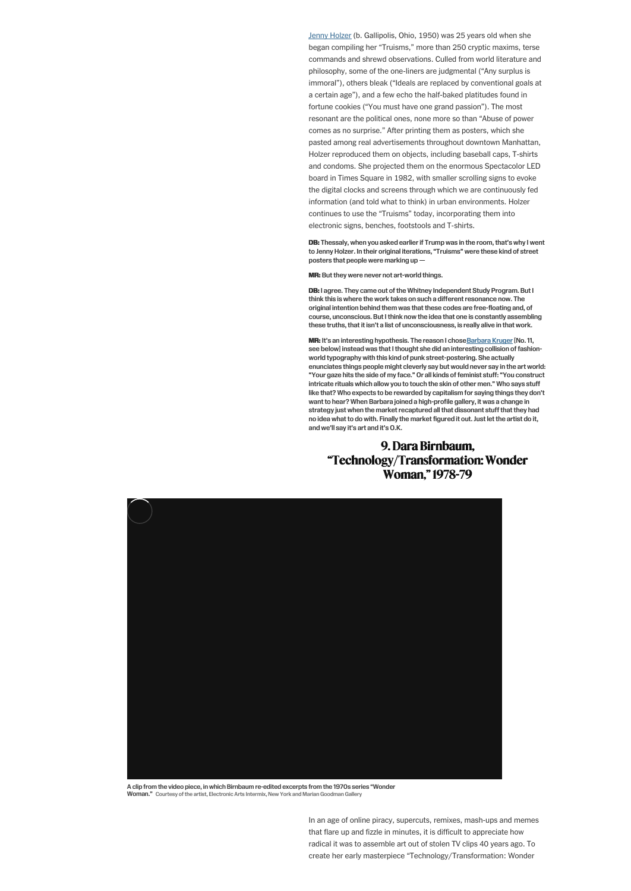Jenny [Holzer](https://www.nytimes.com/2016/06/21/t-magazine/art/jenny-holzer-ibiza.html) (b. Gallipolis, Ohio, 1950) was 25 years old when she began compiling her "Truisms," more than 250 cryptic maxims, terse commands and shrewd observations. Culled from world literature and philosophy, some of the one-liners are judgmental ("Any surplus is immoral"), others bleak ("Ideals are replaced by conventional goals at a certain age"), and a few echo the half-baked platitudes found in fortune cookies ("You must have one grand passion"). The most resonant are the political ones, none more so than "Abuse of power comes as no surprise." After printing them as posters, which she pasted among real advertisements throughout downtown Manhattan, Holzer reproduced them on objects, including baseball caps, T-shirts and condoms. She projected them on the enormous Spectacolor LED board in Times Square in 1982, with smaller scrolling signs to evoke the digital clocks and screens through which we are continuously fed information (and told what to think) in urban environments. Holzer continues to use the "Truisms" today, incorporating them into electronic signs, benches, footstools and T-shirts.

**DB:** Thessaly, when you asked earlier if Trump was in the room, that's why Iwent to Jenny Holzer. In their original iterations, "Truisms" were these kind of street posters that people were marking up —

**MR:** But they were never not art-world things.

**DB:** I agree. They came out of the Whitney Independent Study Program. But I think this is where the work takes on such a different resonance now. The original intention behind them was that these codes are free-floating and, of course, unconscious. But I think now the idea that one is constantly assembling these truths, that it isn't a list of unconsciousness, is really alive in that work.

MR: It's an interesting hypothesis. The reason I chose [Barbara](https://www.nytimes.com/2017/10/29/arts/barbara-kruger-designed-metrocards-are-coming-to-new-york-city.html) Kruger [No. 11, see below] instead was that I thought she did an interesting collision of fashion world typography with this kind of punk street-postering. She actually enunciates things people might cleverly say but would never say in the art world: "Your gaze hits the side of my face." Or all kinds of feminist stuff: "You construct intricate rituals which allow you to touch the skin of other men." Who says stuff like that? Who expects to be rewarded by capitalism for saying things they don't want to hear? When Barbara joined a high-profile gallery, it was a change in strategy just when the market recaptured all that dissonant stuff that they had no idea what to do with. Finally the market figured it out. Just let the artist do it, and we'll say it's art and it's O.K.

### **9. Dara Birnbaum, "Technology/Transformation: Wonder Woman,"1978-79**



A clip from the video piece, in which Birnbaum re-edited excerpts from the 1970s series "Wonder Woman." Courtesy of the artist, Electronic Arts Intermix, New York and Marian Good

In an age of online piracy, supercuts, remixes, mash-ups and memes that flare up and fizzle in minutes, it is difficult to appreciate how radical it was to assemble art out of stolen TV clips 40 years ago. To create her early masterpiece "Technology/Transformation: Wonder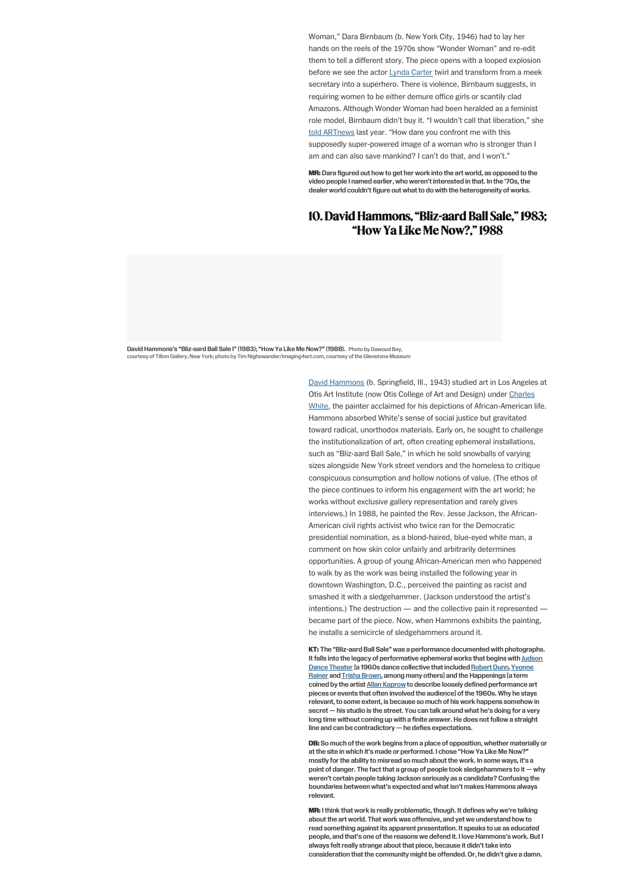Woman," Dara Birnbaum (b. New York City, 1946) had to lay her hands on the reels of the 1970s show "Wonder Woman" and re-edit them to tell a different story. The piece opens with a looped explosion before we see the actor **Lynda [Carter](https://www.nytimes.com/2018/03/31/style/where-is-lynda-carter-now-wonder-woman.html)** twirl and transform from a meek secretary into a superhero. There is violence, Birnbaum suggests, in requiring women to be either demure office girls or scantily clad Amazons. Although Wonder Woman had been heralded as a feminist role model, Birnbaum didn't buy it. "I wouldn't call that liberation," she told [ARTnews](http://www.artnews.com/2018/03/27/icons-dara-birnbaum/) last year. "How dare you confront me with this supposedly super-powered image of a woman who is stronger than I am and can also save mankind? I can't do that, and Iwon't."

**MR:** Dara figured out how to get her work into the art world, as opposed to the video people Inamed earlier, who weren't interested in that. In the '70s, the dealer world couldn't figure out what to do with the heterogeneity of works.

### **10. David Hammons,"Bliz-aard Ball Sale,"1983; "How Ya Like Me Now?,"1988**

David Hammons's "Bliz-aard Ball Sale I" (1983); "How Ya Like Me Now?" (1988). Photo by Dawoud Bey, tesy of Tilton Gallery, New York; photo by Tim Nighswander/Imaging4art.com, courtesy of the G

> David [Hammons](https://www.nytimes.com/2018/02/09/t-magazine/art/steve-cannon-david-hammons.html) (b. Springfield, Ill., 1943) studied art in Los Angeles at Otis Art Institute (now Otis College of Art and Design) under Charles White, the painter acclaimed for his depictions of [African-American](https://www.nytimes.com/1979/10/06/archives/charles-w-white-is-dead-at-61-artist-with-work-in-49-museums.html) life. Hammons absorbed White's sense of social justice but gravitated toward radical, unorthodox materials. Early on, he sought to challenge the institutionalization of art, often creating ephemeral installations, such as "Bliz-aard Ball Sale," in which he sold snowballs of varying sizes alongside New York street vendors and the homeless to critique conspicuous consumption and hollow notions of value. (The ethos of the piece continues to inform his engagement with the art world; he works without exclusive gallery representation and rarely gives interviews.) In 1988, he painted the Rev. Jesse Jackson, the African-American civil rights activist who twice ran for the Democratic presidential nomination, as a blond-haired, blue-eyed white man, a comment on how skin color unfairly and arbitrarily determines opportunities. A group of young African-American men who happened to walk by as the work was being installed the following year in downtown Washington, D.C., perceived the painting as racist and smashed it with a sledgehammer. (Jackson understood the artist's intentions.) The destruction — and the collective pain it represented became part of the piece. Now, when Hammons exhibits the painting, he installs a semicircle of sledgehammers around it.

> **KT:** The "Bliz-aard Ball Sale" was a performance documented with photographs. It falls into the legacy of [performative](https://www.nytimes.com/2019/03/20/t-magazine/postmodern-dance.html) ephemeral works that begins with Judson Dance Theater [a 1960s dance collective that included [Robert](https://www.nytimes.com/1996/07/15/arts/robert-ellis-dunn-67-a-pioneer-in-postmodern-dance-movement.html) Dunn, Yvonne Rainer and [Trisha](https://www.nytimes.com/2017/03/20/arts/dance/trisha-brown-dead-modern-dance-choreographer.html) Brown, among many others] and the [Happenings](https://www.nytimes.com/2017/06/16/arts/dance/seven-seconds-of-yvonne-rainer-trio-a.html) [a term coined by the artist Allan [Kaprow](https://www.nytimes.com/2006/04/10/arts/design/allan-kaprow-creator-of-artistic-happenings-dies-at-78.html) to describe loosely defined performance art pieces or events that often involved the audience] of the 1960s. Why he stays relevant, to some extent, is because so much of his work happens somehow in secret — his studio is the street. You can talk around what he's doing for a very long time without coming up with a finite answer. He does not follow a straight line and can be contradictory — he defies expectations.

> **DB:** So much of the work begins from a place of opposition, whether materially or at the site in which it's made or performed. I chose "How Ya Like Me Now?" mostly for the ability to misread so much about the work. In some ways, it's a point of danger. The fact that a group of people took sledgehammers to it — why weren't certain people taking Jackson seriously as a candidate? Confusing the boundaries between what's expected and what isn't makes Hammons always relevant.

> **MR:** I think that work is really problematic, though. It defines why we're talking about the art world. That work was offensive, and yet we understand how to read something against its apparent presentation. It speaks to us as educated people, and that's one of the reasons we defend it. I love Hammons's work. But I always felt really strange about that piece, because it didn't take into consideration that the community might be offended. Or, he didn't give a damn.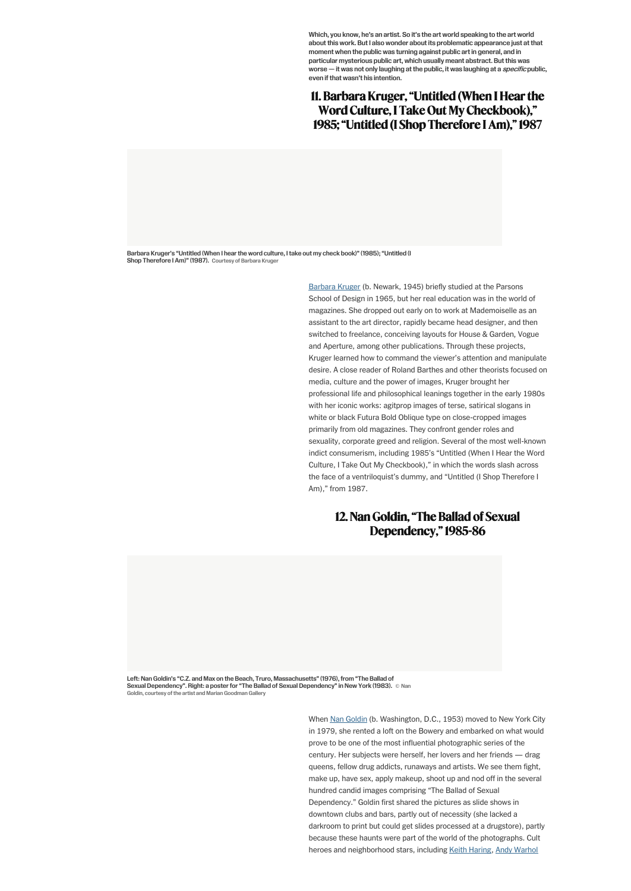Which, you know, he's an artist. So it's the art world speaking to the art world about this work. But I also wonder about its problematic appearance just at that moment when the public was turning against public art in general, and in particular mysterious public art, which usually meant abstract. But this was worse - it was not only laughing at the public, it was laughing at a specific public, even if that wasn't his intention.

### **11. Barbara Kruger,"Untitled (When I Hear the Word Culture, I Take Out My Checkbook)," 1985;"Untitled (I Shop Therefore I Am),"1987**

Barbara Kruger's "Untitled (When Ihear the word culture, I take out my check book)" (1985); "Untitled (I Shop Therefore I Am)" (1987). Courtesy of Barbara Kruge

> [Barbara](http://www.barbarakruger.com/) Kruger (b. Newark, 1945) briefly studied at the Parsons School of Design in 1965, but her real education was in the world of magazines. She dropped out early on to work at Mademoiselle as an assistant to the art director, rapidly became head designer, and then switched to freelance, conceiving layouts for House & Garden, Vogue and Aperture, among other publications. Through these projects, Kruger learned how to command the viewer's attention and manipulate desire. A close reader of Roland Barthes and other theorists focused on media, culture and the power of images, Kruger brought her professional life and philosophical leanings together in the early 1980s with her iconic works: agitprop images of terse, satirical slogans in white or black Futura Bold Oblique type on close-cropped images primarily from old magazines. They confront gender roles and sexuality, corporate greed and religion. Several of the most well-known indict consumerism, including 1985's "Untitled (When I Hear the Word Culture, I Take Out My Checkbook)," in which the words slash across the face of a ventriloquist's dummy, and "Untitled (I Shop Therefore I Am)," from 1987.

# **12. Nan Goldin,"The Ballad of Sexual Dependency,"1985-86**

Left: Nan Goldin's "C.Z. and Max on the Beach, Truro, Massachusetts" (1976), from "The Ballad of Sexual Dependency". Right: a poster for "The Ballad of Sexual Dependency" in New York (1983). © Nan<br>Goldin, courtesy of the artist and Marian Goodman Gallery

> When Nan [Goldin](https://www.nytimes.com/2018/06/11/t-magazine/a-heroin-chic-photographers-new-project-tackling-the-opioid-epidemic.html) (b. Washington, D.C., 1953) moved to New York City in 1979, she rented a loft on the Bowery and embarked on what would prove to be one of the most influential photographic series of the century. Her subjects were herself, her lovers and her friends — drag queens, fellow drug addicts, runaways and artists. We see them fight, make up, have sex, apply makeup, shoot up and nod off in the several hundred candid images comprising "The Ballad of Sexual Dependency." Goldin first shared the pictures as slide shows in downtown clubs and bars, partly out of necessity (she lacked a darkroom to print but could get slides processed at a drugstore), partly because these haunts were part of the world of the photographs. Cult heroes and neighborhood stars, including Keith [Haring](https://www.nytimes.com/topic/person/keith-haring), Andy [Warhol](https://www.nytimes.com/2018/05/02/t-magazine/andy-warhol-photo-portraits.html)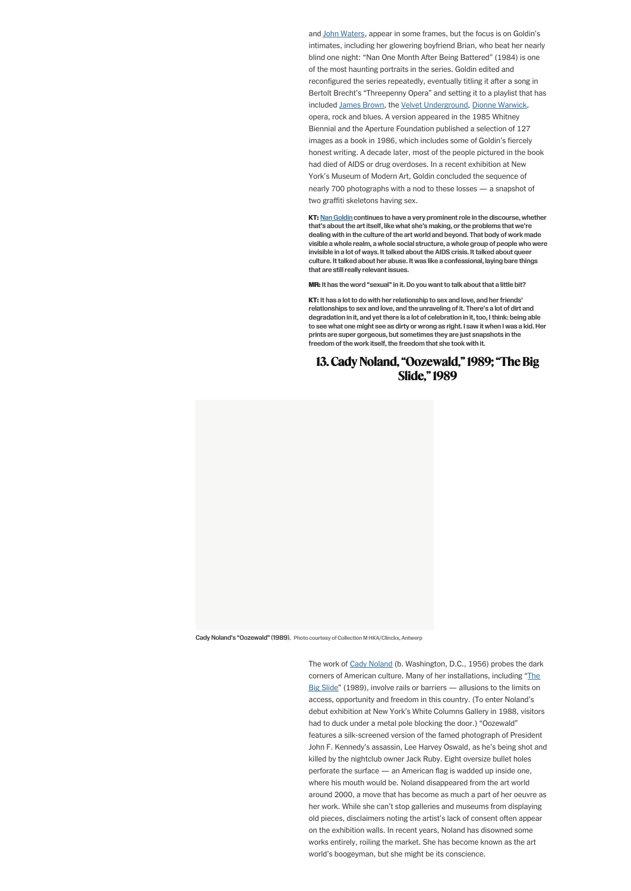and John [Waters](https://www.nytimes.com/topic/person/john-waters), appear in some frames, but the focus is on Goldin's intimates, including her glowering boyfriend Brian, who beat her nearly blind one night: "Nan One Month After Being Battered" (1984) is one of the most haunting portraits in the series. Goldin edited and reconfigured the series repeatedly, eventually titling it after a song in Bertolt Brecht's "Threepenny Opera" and setting it to a playlist that has included [James](https://www.nytimes.com/topic/person/james-brown) Brown, the Velvet [Underground](https://www.nytimes.com/topic/organization/the-velvet-underground), Dionne [Warwick](https://www.nytimes.com/2010/09/21/nyregion/21computer.html), opera, rock and blues. A version appeared in the 1985 Whitney Biennial and the Aperture Foundation published a selection of 127 images as a book in 1986, which includes some of Goldin's fiercely honest writing. A decade later, most of the people pictured in the book had died of AIDS or drug overdoses. In a recent exhibition at New York's Museum of Modern Art, Goldin concluded the sequence of nearly 700 photographs with a nod to these losses — a snapshot of two graffiti skeletons having sex.

**KT:** Nan [Goldin](https://www.nytimes.com/2018/01/22/arts/design/nan-goldin-oxycontin-addiction-opioid.html) continues to have a very prominent role in the discourse, whether that's about the art itself, like what she's making, or the problems that we're dealing with in the culture of the art world and beyond. That body of work made visible a whole realm, a whole social structure, a whole group of people who were invisible in a lot of ways. It talked about the AIDS crisis. It talked about queer culture. It talked about her abuse. It was like a confessional, laying bare things that are still really relevant issues.

**MR:** It has the word "sexual" in it. Do you want to talk about that a little bit?

**KT:** It has a lot to do with her relationship to sex and love, and her friends' relationships to sex and love, and the unraveling of it. There's a lot of dirt and degradation in it, and yet there is a lot of celebration in it, too, I think: being able to see what one might see as dirty or wrong as right. I saw it when Iwas a kid. Her prints are super gorgeous, but sometimes they are just snapshots in the freedom of the work itself, the freedom that she took with it.

### **13. Cady Noland,"Oozewald,"1989;"The Big Slide,"1989**

Cady Noland's "Oozewald" (1989). Photo courtesy of Collection M HKA/Clinckx, Antwerp

The work of Cady [Noland](http://ensembles.mhka.be/items/2245/assets/2517) (b. Washington, D.C., 1956) probes the dark corners of American culture. Many of her [installations,](https://www.artic.edu/artworks/186274/the-big-slide) including "The Big Slide" (1989), involve rails or barriers - allusions to the limits on access, opportunity and freedom in this country. (To enter Noland's debut exhibition at New York's White Columns Gallery in 1988, visitors had to duck under a metal pole blocking the door.) "Oozewald" features a silk-screened version of the famed photograph of President John F. Kennedy's assassin, Lee Harvey Oswald, as he's being shot and killed by the nightclub owner Jack Ruby. Eight oversize bullet holes perforate the surface — an American flag is wadded up inside one, where his mouth would be. Noland disappeared from the art world around 2000, a move that has become as much a part of her oeuvre as her work. While she can't stop galleries and museums from displaying old pieces, disclaimers noting the artist's lack of consent often appear on the exhibition walls. In recent years, Noland has disowned some works entirely, roiling the market. She has become known as the art world's boogeyman, but she might be its conscience.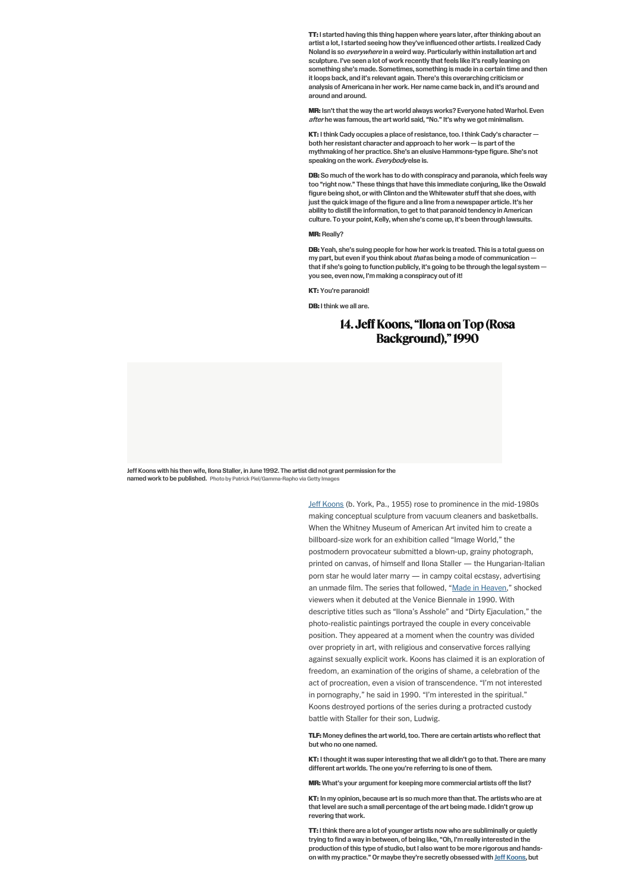**TT:** I started having this thing happen where years later, after thinking about an artist a lot, I started seeing how they've influenced other artists. Irealized Cady Noland is so everywhere in a weird way. Particularly within installation art and sculpture. I've seen a lot of work recently that feels like it's really leaning on something she's made. Sometimes, something is made in a certain time and then it loops back, and it's relevant again. There's this overarching criticism or analysis of Americana in her work. Her name came back in, and it's around and around and around.

**MR:** Isn't that the way the art world always works? Everyone hated Warhol. Even after he was famous, the art world said, "No," It's why we got minimalism.

**KT:** I think Cady occupies a place of resistance, too. I think Cady's character both her resistant character and approach to her work — is part of the mythmaking of her practice. She's an elusive Hammons-type figure. She's not speaking on the work. Everybody else is.

**DB:** So much of the work has to do with conspiracy and paranoia, which feels way too "right now." These things that have this immediate conjuring, like the Oswald figure being shot, or with Clinton and the Whitewater stuff that she does, with just the quick image of the figure and a line from a newspaper article. It's her ability to distill the information, to get to that paranoid tendency in American culture. To your point, Kelly, when she's come up, it's been through lawsuits.

#### **MR:** Really?

**DB:** Yeah, she's suing people for how her work is treated. This is a total guess on my part, but even if you think about *that* as being a mode of communication that if she's going to function publicly, it's going to be through the legal system you see, even now, I'm making a conspiracy out of it!

**KT:** You're paranoid!

**DB:** I think we all are.

### **14. Jeff Koons,"Ilona on Top (Rosa Background),"1990**

Jeff Koons with his then wife, Ilona Staller, in June 1992. The artist did not grant permission for the For resche that the andri thing hond stand; in stand to see that hot git named work to be published. Photo by Patrick Piel/Gamma-Rapho via Getty Image

> Jeff [Koons](https://www.nytimes.com/topic/person/jeff-koons) (b. York, Pa., 1955) rose to prominence in the mid-1980s making conceptual sculpture from vacuum cleaners and basketballs. When the Whitney Museum of American Art invited him to create a billboard-size work for an exhibition called "Image World," the postmodern provocateur submitted a blown-up, grainy photograph, printed on canvas, of himself and Ilona Staller — the Hungarian-Italian porn star he would later marry — in campy coital ecstasy, advertising an unmade film. The series that followed, "Made in [Heaven](http://www.jeffkoons.com/artwork/made-in-heaven)," shocked viewers when it debuted at the Venice Biennale in 1990. With descriptive titles such as "Ilona's Asshole" and "Dirty Ejaculation," the photo-realistic paintings portrayed the couple in every conceivable position. They appeared at a moment when the country was divided over propriety in art, with religious and conservative forces rallying against sexually explicit work. Koons has claimed it is an exploration of freedom, an examination of the origins of shame, a celebration of the act of procreation, even a vision of transcendence. "I'm not interested in pornography," he said in 1990. "I'm interested in the spiritual." Koons destroyed portions of the series during a protracted custody battle with Staller for their son, Ludwig.

**TLF:** Money defines the art world, too. There are certain artists who reflect that but who no one named.

**KT:** I thought it was super interesting that we all didn't go to that. There are many different art worlds. The one you're referring to is one of them.

**MR:** What's your argument for keeping more commercial artists off the list?

**KT:** In my opinion, because art is so much more than that. The artists who are at that level are such a small percentage of the art being made. I didn't grow up revering that work.

**TT:** I think there are a lot of younger artists now who are subliminally or quietly trying to find a way in between, of being like, "Oh, I'm really interested in the production of this type of studio, but I also want to be more rigorous and handson with my practice." Or maybe they're secretly obsessed with Jeff [Koons](https://www.nytimes.com/2010/02/28/arts/design/28koons.html), but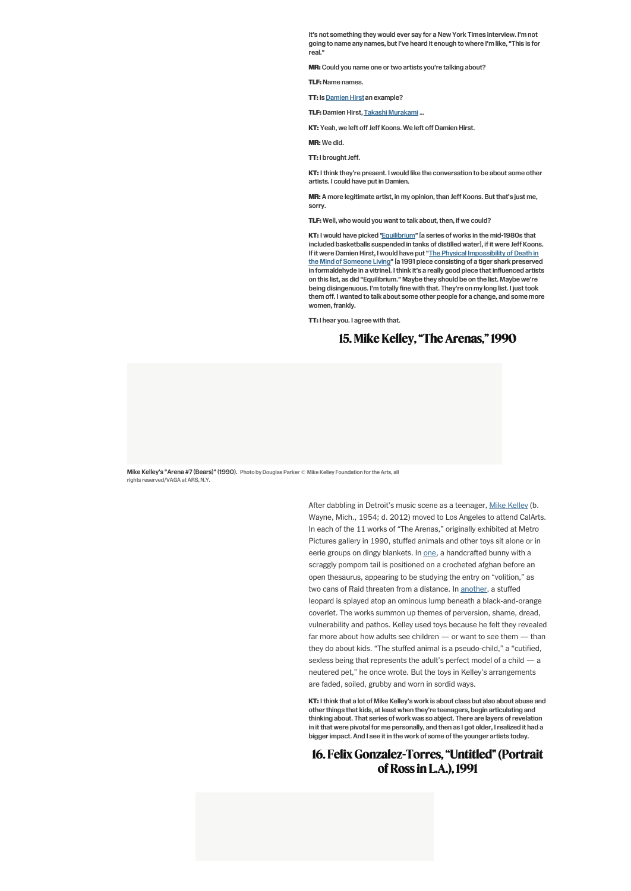it's not something they would ever say for a New York Times interview. I'm not going to name any names, but I've heard it enough to where I'm like, "This is for real."

**MR:** Could you name one or two artists you're talking about?

**TLF:** Name names.

**TT:** Is **[Damien](https://www.nytimes.com/topic/person/damien-hirst) Hirst** an example?

**TLF:** Damien Hirst, Takashi [Murakami](https://www.nytimes.com/2016/02/14/t-magazine/art/takashi-murakami-art-collection-yokohama-museum.html) …

**KT:** Yeah, we left off Jeff Koons. We left off Damien Hirst.

**MR:** We did.

**TT:** I brought Jeff.

**KT:** I think they're present. I would like the conversation to be about some other artists. I could have put in Damien.

**MR:** A more legitimate artist, in my opinion, than Jeff Koons. But that's just me, sorry.

**TLF:** Well, who would you want to talk about, then, if we could?

**KT:** I would have picked ["Equilibrium](http://www.jeffkoons.com/artwork/equilibrium)" [a series of works in the mid-1980s that included basketballs suspended in tanks of distilled water], if it were Jeff Koons. If it were Damien Hirst, I would have put "The Physical [Impossibility](http://www.damienhirst.com/the-physical-impossibility-of) of Death in the Mind of Someone Living" [a 1991 piece consisting of a tiger shark preserved in formaldehyde in a vitrine]. I think it's a really good piece that influenced artists on this list, as did "Equilibrium." Maybe they should be on the list. Maybe we're being disingenuous. I'm totally fine with that. They're on my long list. I just took them off. I wanted to talk about some other people for a change, and some more women, frankly.

**TT:** I hear you. I agree with that.

### **15. Mike Kelley,"The Arenas,"1990**

Mike Kelley's "Arena #7 (Bears)" (1990). Photo by Douglas Parker © Mike Kelley Foundation for the Arts, all rights reserved/VAGA at ARS, N.Y.

> After dabbling in Detroit's music scene as a teenager, Mike [Kelley](http://www.mikekelleyfoundation.org/) (b. Wayne, Mich., 1954; d. 2012) moved to Los Angeles to attend CalArts. In each of the 11 works of "The Arenas," originally exhibited at Metro Pictures gallery in 1990, stuffed animals and other toys sit alone or in eerie groups on dingy blankets. In [one](https://www.christies.com/lotfinder/Lot/mike-kelley-b-1954-arena-11-5495764-details.aspx), a handcrafted bunny with a scraggly pompom tail is positioned on a crocheted afghan before an open thesaurus, appearing to be studying the entry on "volition," as two cans of Raid threaten from a distance. In [another](https://www.christies.com/lotfinder/Lot/mike-kelley-1954-2012-arena-8-leopard-5994792-details.aspx), a stuffed leopard is splayed atop an ominous lump beneath a black-and-orange coverlet. The works summon up themes of perversion, shame, dread, vulnerability and pathos. Kelley used toys because he felt they revealed far more about how adults see children — or want to see them — than they do about kids. "The stuffed animal is a pseudo-child," a "cutified, sexless being that represents the adult's perfect model of a child — a neutered pet," he once wrote. But the toys in Kelley's arrangements are faded, soiled, grubby and worn in sordid ways.

> **KT:** I think that a lot of Mike Kelley's work is about class but also about abuse and other things that kids, at least when they're teenagers, begin articulating and thinking about. That series of work was so abject. There are layers of revelation in it that were pivotal for me personally, and then as Igot older, Irealized it had a bigger impact. And Isee it in the work of some of the younger artists today.

### **16. Felix Gonzalez-Torres,"Untitled" (Portrait of Ross in L.A.), 1991**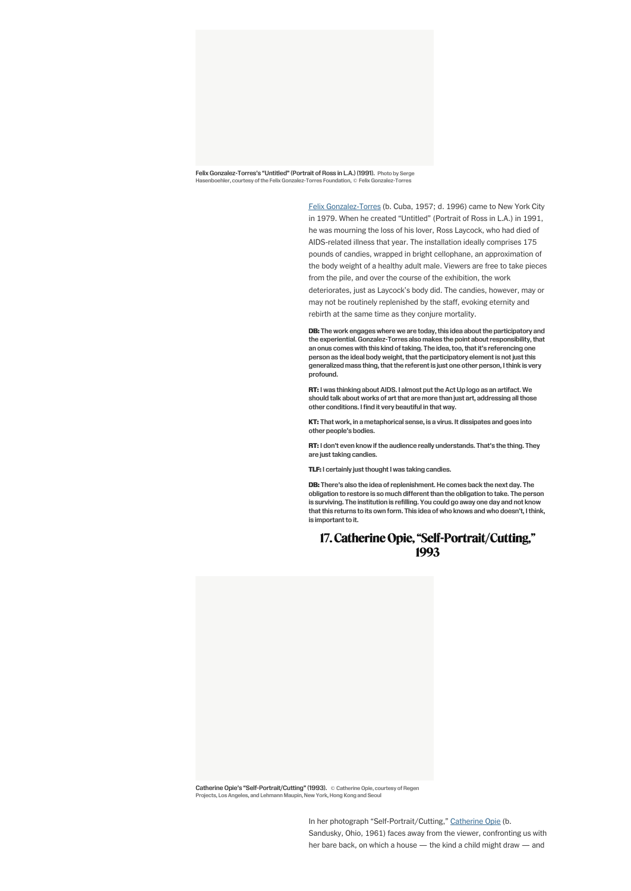Felix Gonzalez-Torres's "Untitled" (Portrait of Ross in L.A.) (1991). Photo by Serge hler, courtesy of the Felix Gonzalez-Torres Foundation, © Felix Gonzalez-Torres

> Felix [Gonzalez-Torres](https://www.felixgonzalez-torresfoundation.org/) (b. Cuba, 1957; d. 1996) came to New York City in 1979. When he created "Untitled" (Portrait of Ross in L.A.) in 1991, he was mourning the loss of his lover, Ross Laycock, who had died of AIDS-related illness that year. The installation ideally comprises 175 pounds of candies, wrapped in bright cellophane, an approximation of the body weight of a healthy adult male. Viewers are free to take pieces from the pile, and over the course of the exhibition, the work deteriorates, just as Laycock's body did. The candies, however, may or may not be routinely replenished by the staff, evoking eternity and rebirth at the same time as they conjure mortality.

> **DB:** The work engages where we are today, this idea about the participatory and the experiential. Gonzalez-Torres also makes the point about responsibility, that an onus comes with this kind of taking. The idea, too, that it's referencing one person as the ideal body weight, that the participatory element is not just this generalized mass thing, that the referent is just one other person, I think is very profound.

**RT:** I was thinking about AIDS. I almost put the Act Up logo as an artifact. We should talk about works of art that are more than just art, addressing all those other conditions. I find it very beautiful in that way.

**KT:** That work, in a metaphorical sense, is a virus. It dissipates and goes into other people's bodies.

**RT:** I don't even know if the audience really understands. That's the thing. They are just taking candies.

**TLF:** I certainly just thought I was taking candies.

**DB:** There's also the idea of replenishment. He comes back the next day. The obligation to restore is so much different than the obligation to take. The person is surviving. The institution is refilling. You could go away one day and not know that this returns to its own form. This idea of who knows and who doesn't, I think, is important to it.

### **17. Catherine Opie,"Self-Portrait/Cutting," 1993**

Catherine Opie's "Self-Portrait/Cutting" (1993). © Catherine Opie, courtesy of Regen<br>Projects, Los Angeles, and Lehmann Maupin, New York, Hong Kong and Seoul Projects, Los Angeles, and Lehmann Maupin, I

> In her photograph "Self-Portrait/Cutting," [Catherine](https://www.nytimes.com/search?query=Opie%25252C+Catherine) Opie (b. Sandusky, Ohio, 1961) faces away from the viewer, confronting us with her bare back, on which a house — the kind a child might draw — and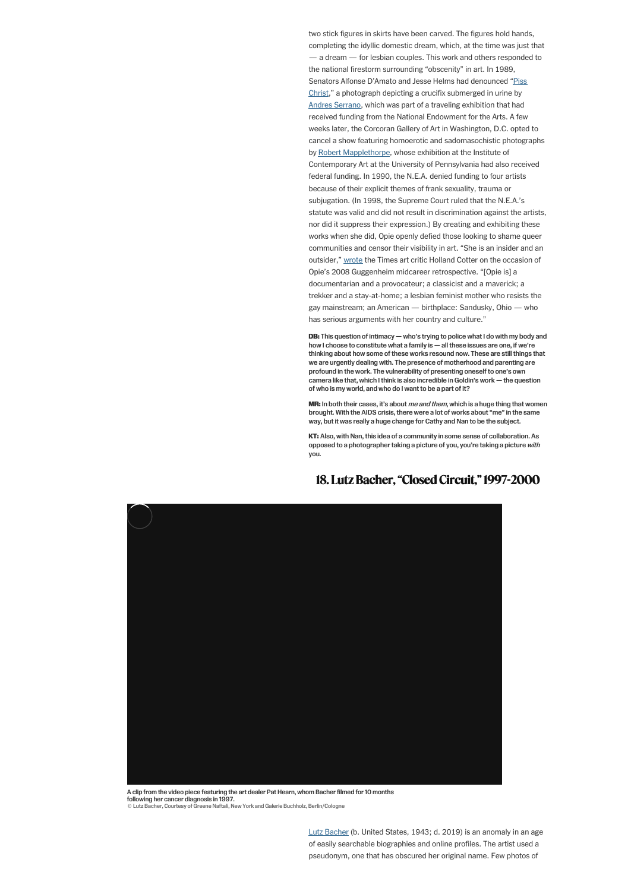two stick figures in skirts have been carved. The figures hold hands, completing the idyllic domestic dream, which, at the time was just that — a dream — for lesbian couples. This work and others responded to the national firestorm surrounding "obscenity" in art. In 1989, Senators Alfonse D'Amato and Jesse Helms had [denounced](https://www.christies.com/lotfinder/Lot/andres-serrano-b-1950-piss-christ-5070403-details.aspx) "Piss Christ," a photograph depicting a crucifix submerged in urine by Andres [Serrano](https://www.nytimes.com/2019/04/10/arts/andres-serrano-lets-objects-do-the-talking.html), which was part of a traveling exhibition that had received funding from the National Endowment for the Arts. A few weeks later, the Corcoran Gallery of Art in Washington, D.C. opted to cancel a show featuring homoerotic and sadomasochistic photographs by Robert [Mapplethorpe](https://www.nytimes.com/2018/11/23/t-magazine/robert-mappelthorpe-michael-cunningham-elif-batuman-hilton-als.html), whose exhibition at the Institute of Contemporary Art at the University of Pennsylvania had also received federal funding. In 1990, the N.E.A. denied funding to four artists because of their explicit themes of frank sexuality, trauma or subjugation. (In 1998, the Supreme Court ruled that the N.E.A.'s statute was valid and did not result in discrimination against the artists, nor did it suppress their expression.) By creating and exhibiting these works when she did, Opie openly defied those looking to shame queer communities and censor their visibility in art. "She is an insider and an outsider," [wrote](https://www.nytimes.com/2008/09/26/arts/design/26opie.html) the Times art critic Holland Cotter on the occasion of Opie's 2008 Guggenheim midcareer retrospective. "[Opie is] a documentarian and a provocateur; a classicist and a maverick; a trekker and a stay-at-home; a lesbian feminist mother who resists the gay mainstream; an American — birthplace: Sandusky, Ohio — who has serious arguments with her country and culture."

**DB:** This question of intimacy — who's trying to police what I do with my body and how I choose to constitute what a family is — all these issues are one, if we're thinking about how some of these works resound now. These are still things that we are urgently dealing with. The presence of motherhood and parenting are profound in the work. The vulnerability of presenting oneself to one's own camera like that, which Ithink is also incredible in Goldin's work — the question of who is my world, and who do Iwant to be a part of it?

**MR:** In both their cases, it's about me and them, which is a huge thing that women brought. With the AIDS crisis, there were a lot of works about "me" in the same way, but it was really a huge change for Cathy and Nan to be the subject.

**KT:** Also, with Nan, this idea of a community in some sense of collaboration. As opposed to a photographer taking a picture of you, you're taking a picture with you.



### **18. Lutz Bacher,"Closed Circuit,"1997-2000**

A clip from the video piece featuring the art dealer Pat Hearn, whom Bacher filmed for 10 months following her cancer diagnosis in 1997. © Lutz Bacher, Courtesy of Greene Naftali, New York and Galerie Buchholz, Berlin/Cologne

Lutz [Bacher](https://www.nytimes.com/2019/05/26/obituaries/lutz-bacher-dies-at-75.html) (b. United States, 1943; d. 2019) is an anomaly in an age of easily searchable biographies and online profiles. The artist used a pseudonym, one that has obscured her original name. Few photos of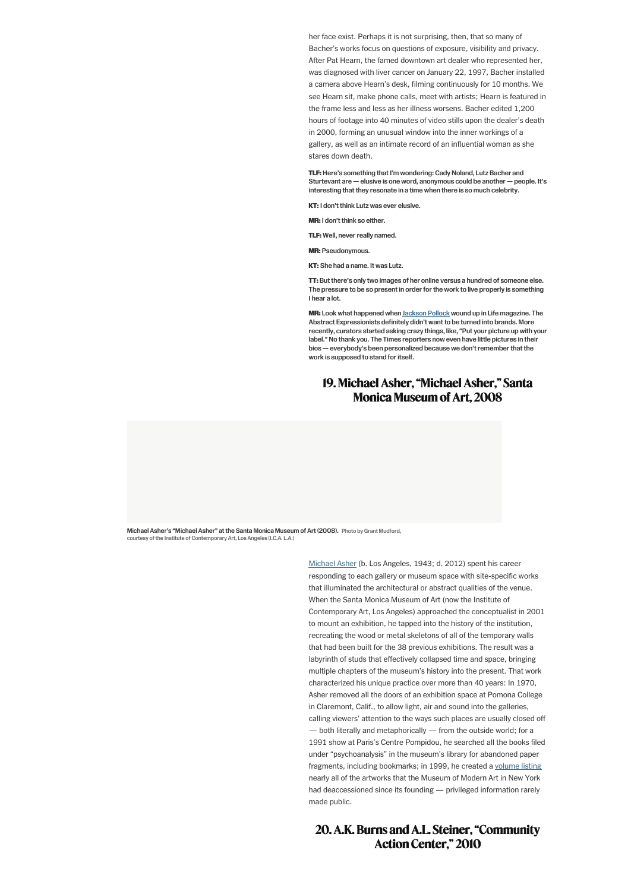her face exist. Perhaps it is not surprising, then, that so many of Bacher's works focus on questions of exposure, visibility and privacy. After Pat Hearn, the famed downtown art dealer who represented her, was diagnosed with liver cancer on January 22, 1997, Bacher installed a camera above Hearn's desk, filming continuously for 10 months. We see Hearn sit, make phone calls, meet with artists; Hearn is featured in the frame less and less as her illness worsens. Bacher edited 1,200 hours of footage into 40 minutes of video stills upon the dealer's death in 2000, forming an unusual window into the inner workings of a gallery, as well as an intimate record of an influential woman as she stares down death.

**TLF:** Here's something that I'm wondering: Cady Noland, Lutz Bacher and Sturtevant are — elusive is one word, anonymous could be another — people. It's interesting that they resonate in a time when there is so much celebrity.

**KT:** I don't think Lutz was ever elusive.

**MR:** I don't think so either.

**TLF:** Well, never really named.

**MR:** Pseudonymous.

**KT:** She had a name. It was Lutz.

**TT:** But there's only two images of her online versus a hundred of someone else. The pressure to be so present in order for the work to live properly is something I hear a lot.

**MR:** Look what happened when [Jackson](https://www.nytimes.com/topic/person/jackson-pollock) Pollock wound up in Life magazine. The Abstract Expressionists definitely didn't want to be turned into brands. More recently, curators started asking crazy things, like, "Put your picture up with your label." No thank you. The Times reporters now even have little pictures in their bios — everybody's been personalized because we don't remember that the work is supposed to stand for itself.

### **19. Michael Asher,"Michael Asher," Santa Monica Museum of Art, 2008**

Michael Asher's "Michael Asher" at the Santa Monica Museum of Art (2008). Photo by Grant Mudford, courtesy of the Institute of Contemporary Art, Los Angeles (I.C.A. L.A.)

> [Michael](https://www.nytimes.com/2012/10/18/arts/design/michael-asher-artist-dies-at-69.html) Asher (b. Los Angeles, 1943; d. 2012) spent his career responding to each gallery or museum space with site-specific works that illuminated the architectural or abstract qualities of the venue. When the Santa Monica Museum of Art (now the Institute of Contemporary Art, Los Angeles) approached the conceptualist in 2001 to mount an exhibition, he tapped into the history of the institution, recreating the wood or metal skeletons of all of the temporary walls that had been built for the 38 previous exhibitions. The result was a labyrinth of studs that effectively collapsed time and space, bringing multiple chapters of the museum's history into the present. That work characterized his unique practice over more than 40 years: In 1970, Asher removed all the doors of an exhibition space at Pomona College in Claremont, Calif., to allow light, air and sound into the galleries, calling viewers' attention to the ways such places are usually closed off — both literally and metaphorically — from the outside world; for a 1991 show at Paris's Centre Pompidou, he searched all the books filed under "psychoanalysis" in the museum's library for abandoned paper fragments, including bookmarks; in 1999, he created a [volume](http://moma.org/d/c/exhibition_catalogues/W1siZiIsIjMwMDA5OTYwMiJdLFsicCIsImVuY292ZXIiLCJ3d3cubW9tYS5vcmcvY2FsZW5kYXIvZXhoaWJpdGlvbnMvMTg1IiwiaHR0cDovL21vbWEub3JnL2NhbGVuZGFyL2V4aGliaXRpb25zLzE4NT9sb2NhbGU9cHQiLCJpIl1d.pdf?sha=9748391a05a89941) listing nearly all of the artworks that the Museum of Modern Art in New York had deaccessioned since its founding — privileged information rarely made public.

**20. A.K. Burns and A.L. Steiner,"Community Action Center," 2010**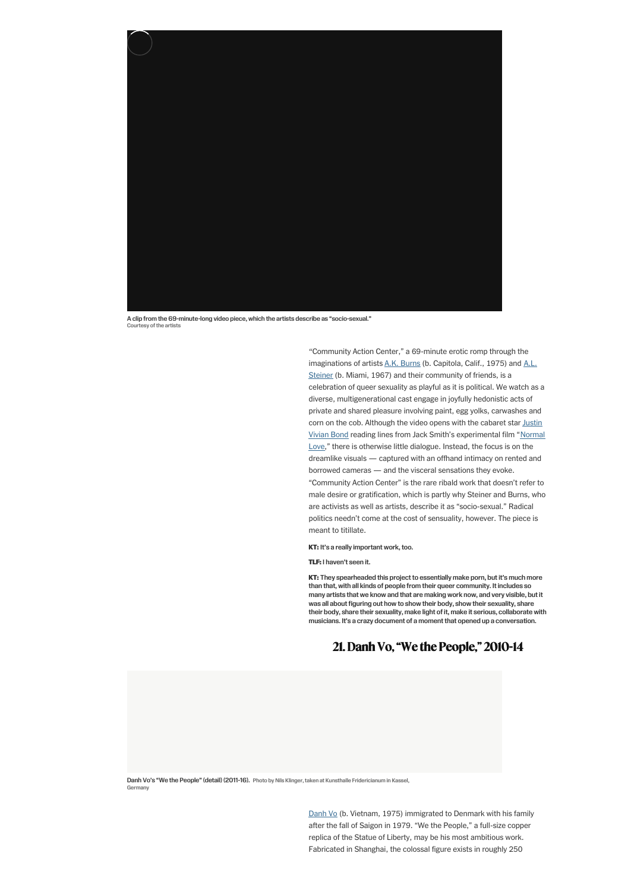

A clip from the 69-minute-long video piece, which the artists describe as "socio-sexual." Courtesy of the artists

"Community Action Center," a 69-minute erotic romp through the [imaginations](https://www.hellomynameissteiner.com/) of artists A.K. [Burns](http://www.akburns.net/) (b. Capitola, Calif., 1975) and A.L. Steiner (b. Miami, 1967) and their community of friends, is a celebration of queer sexuality as playful as it is political. We watch as a diverse, multigenerational cast engage in joyfully hedonistic acts of private and shared pleasure involving paint, egg yolks, carwashes and corn on the cob. Although the video opens with the cabaret star Justin Vivian Bond reading lines from Jack Smith's [experimental](https://www.moma.org/calendar/exhibitions/3754?locale=en) film "Normal Love," there is otherwise little dialogue. Instead, the focus is on the dreamlike visuals — captured with an offhand intimacy on rented and borrowed cameras — and the visceral sensations they evoke. "Community Action Center" is the rare ribald work that doesn't refer to male desire or gratification, which is partly why Steiner and Burns, who are activists as well as artists, describe it as "socio-sexual." Radical politics needn't come at the cost of sensuality, however. The piece is meant to titillate.

#### **KT:** It's a really important work, too.

### **TLF:** I haven't seen it.

**KT:** They spearheaded this project to essentially make porn, but it's much more than that, with all kinds of people from their queer community. It includes so many artists that we know and that are making work now, and very visible, but it was all about figuring out how to show their body, show their sexuality, share their body, share their sexuality, make light of it, make it serious, collaborate with musicians. It's a crazy document of a moment that opened up a conversation.

### **21. Danh Vo,"We the People," 2010-14**

Danh Vo's "We the People" (detail) (2011-16). Photo by Nils Klinger, taken at Kunsthalle Fridericianum in Kassel, Germany

> [Danh](https://www.publicartfund.org/exhibitions/view/danh-vo-we-the-people/) Vo (b. Vietnam, 1975) immigrated to Denmark with his family after the fall of Saigon in 1979. "We the People," a full-size copper replica of the Statue of Liberty, may be his most ambitious work. Fabricated in Shanghai, the colossal figure exists in roughly 250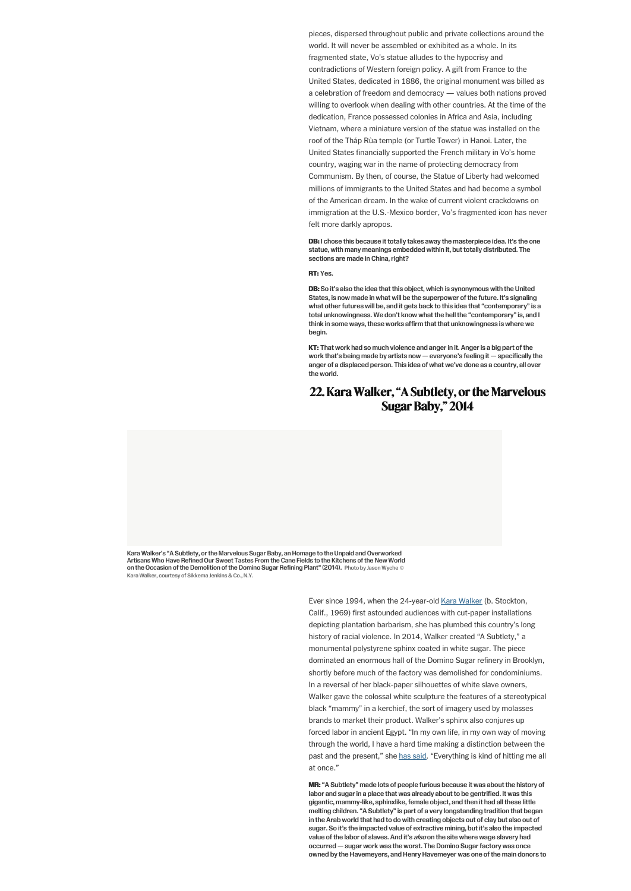pieces, dispersed throughout public and private collections around the world. It will never be assembled or exhibited as a whole. In its fragmented state, Vo's statue alludes to the hypocrisy and contradictions of Western foreign policy. A gift from France to the United States, dedicated in 1886, the original monument was billed as a celebration of freedom and democracy — values both nations proved willing to overlook when dealing with other countries. At the time of the dedication, France possessed colonies in Africa and Asia, including Vietnam, where a miniature version of the statue was installed on the roof of the Tháp Rùa temple (or Turtle Tower) in Hanoi. Later, the United States financially supported the French military in Vo's home country, waging war in the name of protecting democracy from Communism. By then, of course, the Statue of Liberty had welcomed millions of immigrants to the United States and had become a symbol of the American dream. In the wake of current violent crackdowns on immigration at the U.S.-Mexico border, Vo's fragmented icon has never felt more darkly apropos.

**DB:** I chose this because it totally takes away the masterpiece idea. It's the one statue, with many meanings embedded within it, but totally distributed. The sections are made in China, right?

**RT:** Yes.

**DB:** So it's also the idea that this object, which is synonymous with the United States, is now made in what will be the superpower of the future. It's signaling what other futures will be, and it gets back to this idea that "contemporary" is a total unknowingness. We don't know what the hell the "contemporary" is, and I think in some ways, these works affirm that that unknowingness is where we begin.

**KT:** That work had so much violence and anger in it. Anger is a big part of the work that's being made by artists now — everyone's feeling it — specifically the anger of a displaced person. This idea of what we've done as a country, all over the world.

### **22. Kara Walker,"A Subtlety, or the Marvelous Sugar Baby," 2014**

Kara Walker's "A Subtlety, or the Marvelous Sugar Baby, an Homage to the Unpaid and Overworked<br>Artisans Who Have Refined Our Sweet Tastes From the Cane Fields to the Kitchens of the New World<br>on the Occasion of the Demoli Kara Walker, courtesy of Sikkema Jenkins & Co., N.Y.

> Ever since 1994, when the 24-year-old Kara [Walker](https://www.nytimes.com/topic/person/kara-walker) (b. Stockton, Calif., 1969) first astounded audiences with cut-paper installations depicting plantation barbarism, she has plumbed this country's long history of racial violence. In 2014, Walker created "A Subtlety," a monumental polystyrene sphinx coated in white sugar. The piece dominated an enormous hall of the Domino Sugar refinery in Brooklyn, shortly before much of the factory was demolished for condominiums. In a reversal of her black-paper silhouettes of white slave owners, Walker gave the colossal white sculpture the features of a stereotypical black "mammy" in a kerchief, the sort of imagery used by molasses brands to market their product. Walker's sphinx also conjures up forced labor in ancient Egypt. "In my own life, in my own way of moving through the world, I have a hard time making a distinction between the past and the present," she has [said](https://observer.com/2014/05/kara-walker-on-domino-demolition-it-makes-me-very-sad/). "Everything is kind of hitting me all at once."

> **MR:** "A Subtlety" made lots of people furious because it was about the history of labor and sugar in a place that was already about to be gentrified. It was this gigantic, mammy-like, sphinxlike, female object, and then it had all these little melting children. "A Subtlety" is part of a very longstanding tradition that began in the Arab world that had to do with creating objects out of clay but also out of sugar. So it's the impacted value of extractive mining, but it's also the impacted value of the labor of slaves. And it's also on the site where wage slavery had occurred — sugar work was the worst. The Domino Sugar factory was once owned by the Havemeyers, and Henry Havemeyer was one of the main donors to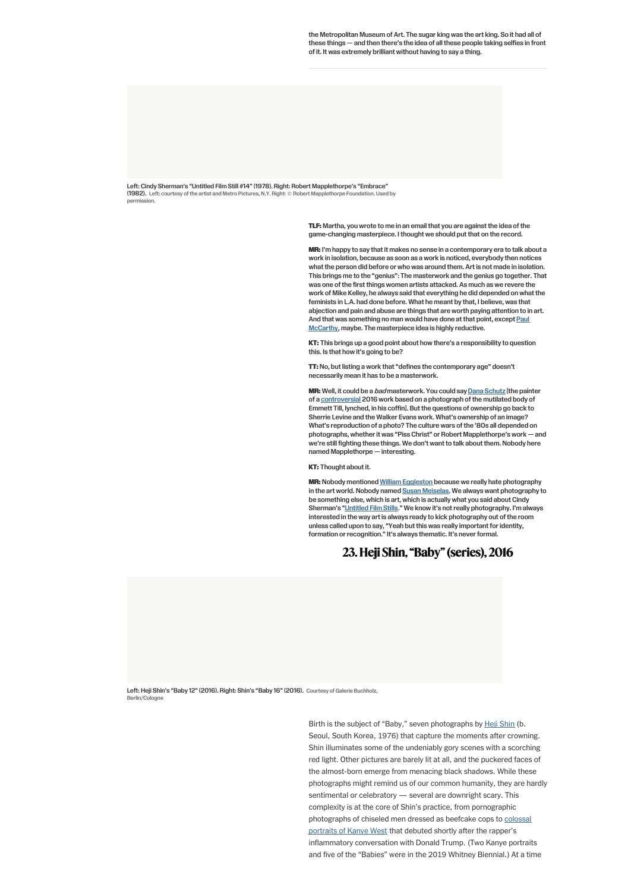the Metropolitan Museum of Art. The sugar king was the art king. So it had all of these things — and then there's the idea of all these people taking selfies in front of it. It was extremely brilliant without having to say a thing.

Left: Cindy Sherman's "Untitled Film Still #14" (1978). Right: Robert Mapplethorpe's "Embrace" (1982). Left: courtesy of the artist and Metro Pictures, N.Y. Right: © Robert Mapplethorpe Foundation. Used by permission.

> **TLF:** Martha, you wrote to me in an email that you are against the idea of the game-changing masterpiece. I thought we should put that on the record.

**MR:** I'm happy to say that it makes no sense in a contemporary era to talk about a work in isolation, because as soon as a work is noticed, everybody then notices what the person did before or who was around them. Art is not made in isolation. This brings me to the "genius": The masterwork and the genius go together. That was one of the first things women artists attacked. As much as we revere the work of Mike Kelley, he always said that everything he did depended on what the feminists in L.A. had done before. What he meant by that, I believe, was that abjection and pain and abuse are things that are worth paying attention to in art. And that was something no man would have done at that point, except Paul McCarthy, maybe. The [masterpiece](https://www.nytimes.com/topic/person/paul-mccarthy) idea is highly reductive.

**KT:** This brings up a good point about how there's a responsibility to question this. Is that how it's going to be?

**TT:** No, but listing a work that "defines the contemporary age" doesn't necessarily mean it has to be a masterwork.

MR: Well, it could be a *bad* masterwork. You could say **Dana [Schutz](https://www.nytimes.com/2019/01/09/arts/design/dana-schutz-painting-emmett-till-petzel-gallery.html)** [the painter of a [controversial](https://www.nytimes.com/2017/07/27/arts/design/dana-schutz-emmett-till-painting-protests.html) 2016 work based on a photograph of the mutilated body of Emmett Till, lynched, in his coffin]. But the questions of ownership go back to Sherrie Levine and the Walker Evans work. What's ownership of an image? What's reproduction of a photo? The culture wars of the '80s all depended on photographs, whether it was "Piss Christ" or Robert Mapplethorpe's work — and we're still fighting these things. We don't want to talk about them. Nobody here named Mapplethorpe — interesting.

**KT:** Thought about it.

**MR:** Nobody mentioned William [Eggleston](https://www.nytimes.com/2016/10/17/t-magazine/william-eggleston-photographer-interview-augusten-burroughs.html) because we really hate photography in the art world. Nobody named Susan [Meiselas](https://www.nytimes.com/2018/07/03/lens/susan-meiselas-mediations.html). We always want photography to be something else, which is art, which is actually what you said about Cindy Sherman's ["Untitled](https://www.moma.org/learn/moma_learning/cindy-sherman-untitled-film-stills-1977-80/) Film Stills." We know it's notreally photography. I'm always interested in the way art is always ready to kick photography out of the room unless called upon to say, "Yeah but this was really important for identity, formation or recognition." It's always thematic. It's never formal.

### **23. Heji Shin,"Baby"(series), 2016**

Left: Heji Shin's "Baby 12" (2016). Right: Shin's "Baby 16" (2016). Courtesy of Galerie Buchholz, Berlin/Cologne

> Birth is the subject of "Baby," seven photographs by Heji [Shin](http://www.hejishin.com/) (b. Seoul, South Korea, 1976) that capture the moments after crowning. Shin illuminates some of the undeniably gory scenes with a scorching red light. Other pictures are barely lit at all, and the puckered faces of the almost-born emerge from menacing black shadows. While these photographs might remind us of our common humanity, they are hardly sentimental or celebratory — several are downright scary. This complexity is at the core of Shin's practice, from pornographic [photographs](https://www.galeriebuchholz.de/exhibitions/heji-shin-berlin-2019/) of chiseled men dressed as beefcake cops to colossal portraits of Kanye West that debuted shortly after the rapper's inflammatory conversation with Donald Trump. (Two Kanye portraits and five of the "Babies" were in the 2019 Whitney Biennial.) At a time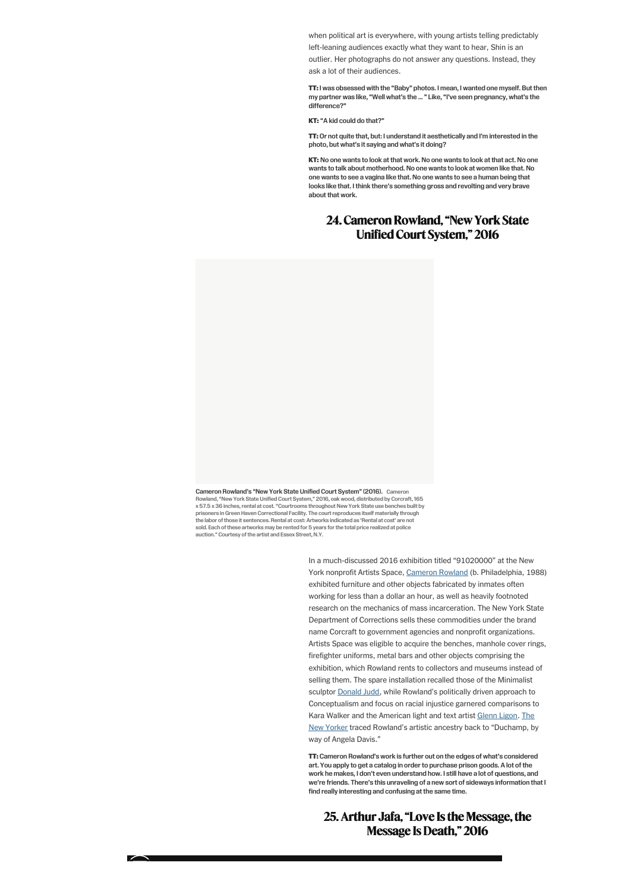when political art is everywhere, with young artists telling predictably left-leaning audiences exactly what they want to hear, Shin is an outlier. Her photographs do not answer any questions. Instead, they ask a lot of their audiences.

**TT:** I was obsessed with the "Baby" photos. I mean, I wanted one myself. But then my partner was like, "Well what's the … " Like, "I've seen pregnancy, what's the difference?"

**KT:** "A kid could do that?"

**TT:** Or not quite that, but: I understand it aesthetically and I'm interested in the photo, but what's it saying and what's it doing?

**KT:** No one wants to look at that work. No one wants to look at that act. No one wants to talk about motherhood. No one wants to look at women like that. No one wants to see a vagina like that. No one wants to see a human being that looks like that. I think there's something gross and revolting and very brave about that work.

### **24. Cameron Rowland,"New York State Unified Court System," 2016**

Cameron Rowland's "New York State Unified Court System" (2016). Cameron nd, "New York State Unified Court System," 2016, oak wood, distributed by Corcraft, 165 x 57.5 x 36 inches, rental at cost. "Courtrooms throughout New York State use benches built by prisoners in Green Haven Correctional Facility. The court reproduces itself materially through the labor of those it sentences. Rental at cost: Artworks indicated as 'Rental at cost' are not sold. Each of these artworks may be rented for 5 years for the total price realized at police auction." Courtesy of the artist and Essex Street, N.Y.

> In a much-discussed 2016 exhibition titled "91020000" at the New York nonprofit Artists Space, [Cameron](http://www.essexstreet.biz/artist/rowland) Rowland (b. Philadelphia, 1988) exhibited furniture and other objects fabricated by inmates often working for less than a dollar an hour, as well as heavily footnoted research on the mechanics of mass incarceration. The New York State Department of Corrections sells these commodities under the brand name Corcraft to government agencies and nonprofit organizations. Artists Space was eligible to acquire the benches, manhole cover rings, firefighter uniforms, metal bars and other objects comprising the exhibition, which Rowland rents to collectors and museums instead of selling them. The spare installation recalled those of the Minimalist sculptor [Donald](https://www.nytimes.com/1994/02/13/obituaries/donald-judd-leading-minimalist-sculptor-dies-at-65.html) Judd, while Rowland's politically driven approach to Conceptualism and focus on racial injustice garnered comparisons to Kara Walker and the American light and text artist [Glenn](https://www.nytimes.com/2018/06/18/t-magazine/glenn-ligon-adrian-piper-art.html) Ligon. The New Yorker traced Rowland's artistic ancestry back to ["Duchamp,](https://www.newyorker.com/goings-on-about-town/art/cameron-rowland) by way of Angela Davis."

> **TT:** Cameron Rowland's work is further out on the edges of what's considered art. You apply to get a catalog in order to purchase prison goods. A lot of the work he makes, I don't even understand how. I still have a lot of questions, and we're friends. There's this unraveling of a new sort of sideways information that I find really interesting and confusing at the same time.

**25. Arthur Jafa,"Love Is the Message, the Message Is Death," 2016**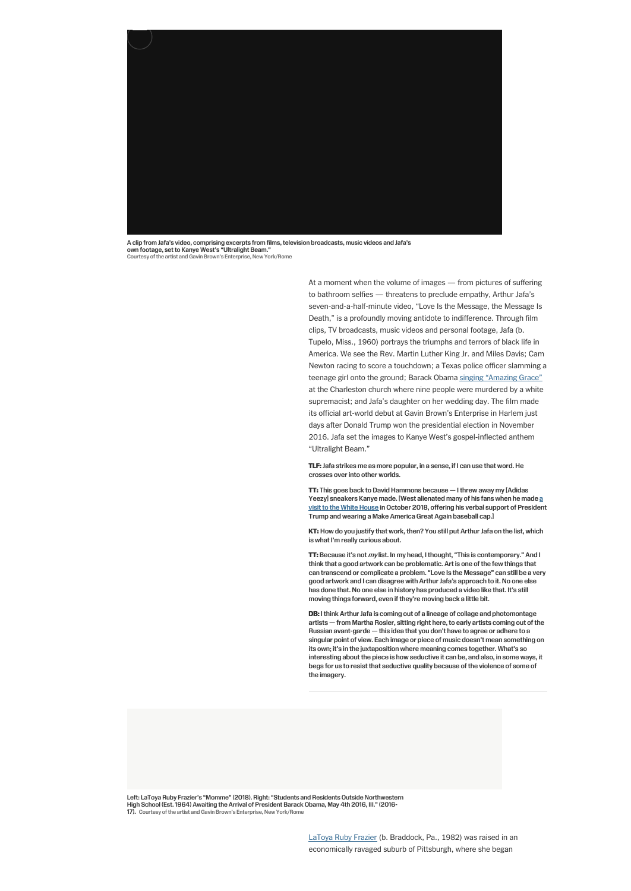

A clip from Jafa's video, comprising excerpts from films, television broadcasts, music videos and Jafa's<br>own footage, set to Kanye West's "Ultralight Beam."<br>Courtesy of the artist and Gavin Brown's Enterprise, New York/Rom

At a moment when the volume of images — from pictures of suffering to bathroom selfies — threatens to preclude empathy, Arthur Jafa's seven-and-a-half-minute video, "Love Is the Message, the Message Is Death," is a profoundly moving antidote to indifference. Through film clips, TV broadcasts, music videos and personal footage, Jafa (b. Tupelo, Miss., 1960) portrays the triumphs and terrors of black life in America. We see the Rev. Martin Luther King Jr. and Miles Davis; Cam Newton racing to score a touchdown; a Texas police officer slamming a teenage girl onto the ground; Barack Obama singing ["Amazing](https://www.nytimes.com/2015/07/04/arts/obamas-eulogy-which-found-its-place-in-history.html) Grace" at the Charleston church where nine people were murdered by a white supremacist; and Jafa's daughter on her wedding day. The film made its official art-world debut at Gavin Brown's Enterprise in Harlem just days after Donald Trump won the presidential election in November 2016. Jafa set the images to Kanye West's gospel-inflected anthem "Ultralight Beam."

**TLF:** Jafa strikes me as more popular, in a sense, if I can use that word. He crosses over into other worlds.

**TT:** This goes back to David Hammons because — I threw away my [Adidas Yeezy] [sneakers](https://www.nytimes.com/2018/10/11/us/politics/kanye-trump-white-house-monologue.html) Kanye made. [West alienated many of his fans when he made a visit to the White House in October 2018, offering his verbal support of President Trump and wearing a Make America Great Again baseball cap.]

**KT:** How do you justify that work, then? You still put Arthur Jafa on the list, which is what I'm really curious about.

**TT:** Because it's not my list. In my head, I thought, "This is contemporary." And I think that a good artwork can be problematic. Art is one of the few things that can transcend or complicate a problem. "Love Is the Message" can still be a very good artwork and I can disagree with Arthur Jafa's approach to it. No one else has done that. No one else in history has produced a video like that. It's still moving things forward, even if they're moving back a little bit.

**DB:** I think Arthur Jafa is coming out of a lineage of collage and photomontage artists — from Martha Rosler, sitting right here, to early artists coming out of the Russian avant-garde — this idea that you don't have to agree or adhere to a singular point of view. Each image or piece of music doesn't mean something on its own; it's in the juxtaposition where meaning comes together. What's so interesting about the piece is how seductive it can be, and also, in some ways, it begs for us to resist that seductive quality because of the violence of some of the imagery.

Left: LaToya Ruby Frazier's "Momme" (2018). Right: "Students and Residents Outside Northwestern High School (Est. 1964) Awaiting the Arrival of President Barack Obama, May 4th 2016, III." (2016- 17). Courtesy of the artist and Gavin Brown's Enterprise, New York/Rome